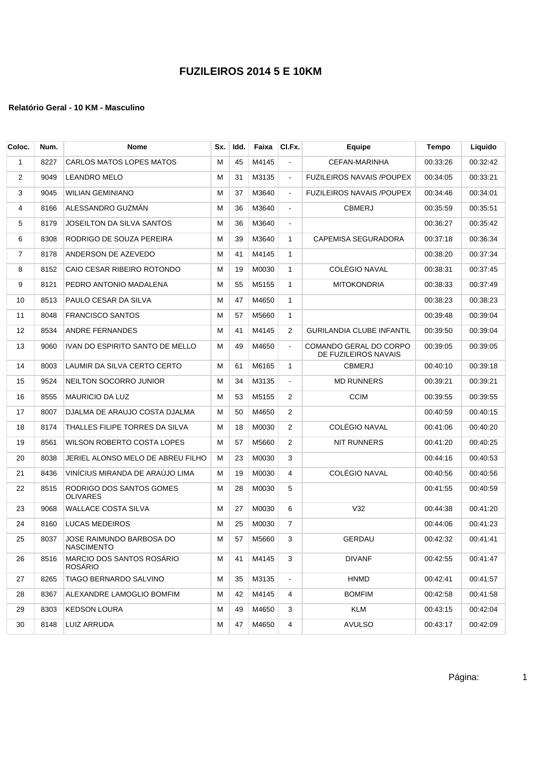| Coloc.         | Num. | <b>Nome</b>                                        | Sx. | Idd. | Faixa | CI.Fx.         | Equipe                                         | Tempo    | Liquido  |
|----------------|------|----------------------------------------------------|-----|------|-------|----------------|------------------------------------------------|----------|----------|
| 1              | 8227 | CARLOS MATOS LOPES MATOS                           | м   | 45   | M4145 | $\blacksquare$ | CEFAN-MARINHA                                  | 00:33:26 | 00:32:42 |
| $\overline{2}$ | 9049 | <b>LEANDRO MELO</b>                                | м   | 31   | M3135 | $\blacksquare$ | <b>FUZILEIROS NAVAIS /POUPEX</b>               | 00:34:05 | 00:33:21 |
| 3              | 9045 | WILIAN GEMINIANO                                   | м   | 37   | M3640 | $\blacksquare$ | <b>FUZILEIROS NAVAIS /POUPEX</b>               | 00:34:46 | 00:34:01 |
| 4              | 8166 | ALESSANDRO GUZMAN                                  | M   | 36   | M3640 | $\blacksquare$ | CBMERJ                                         | 00:35:59 | 00:35:51 |
| 5              | 8179 | JOSEILTON DA SILVA SANTOS                          | М   | 36   | M3640 | $\blacksquare$ |                                                | 00:36:27 | 00:35:42 |
| 6              | 8308 | RODRIGO DE SOUZA PEREIRA                           | М   | 39   | M3640 | $\mathbf{1}$   | <b>CAPEMISA SEGURADORA</b>                     | 00:37:18 | 00:36:34 |
| $\overline{7}$ | 8178 | ANDERSON DE AZEVEDO                                | м   | 41   | M4145 | $\mathbf{1}$   |                                                | 00:38:20 | 00:37:34 |
| 8              | 8152 | CAIO CESAR RIBEIRO ROTONDO                         | м   | 19   | M0030 | $\mathbf{1}$   | COLÉGIO NAVAL                                  | 00:38:31 | 00:37:45 |
| 9              | 8121 | PEDRO ANTONIO MADALENA                             | м   | 55   | M5155 | $\mathbf{1}$   | <b>MITOKONDRIA</b>                             | 00:38:33 | 00:37:49 |
| 10             | 8513 | PAULO CESAR DA SILVA                               | M   | 47   | M4650 | $\mathbf{1}$   |                                                | 00:38:23 | 00:38:23 |
| 11             | 8048 | <b>FRANCISCO SANTOS</b>                            | M   | 57   | M5660 | $\mathbf{1}$   |                                                | 00:39:48 | 00:39:04 |
| 12             | 8534 | <b>ANDRE FERNANDES</b>                             | м   | 41   | M4145 | 2              | <b>GURILANDIA CLUBE INFANTIL</b>               | 00:39:50 | 00:39:04 |
| 13             | 9060 | IVAN DO ESPIRITO SANTO DE MELLO                    | М   | 49   | M4650 | $\blacksquare$ | COMANDO GERAL DO CORPO<br>DE FUZILEIROS NAVAIS | 00:39:05 | 00:39:05 |
| 14             | 8003 | LAUMIR DA SILVA CERTO CERTO                        | м   | 61   | M6165 | $\mathbf{1}$   | <b>CBMERJ</b>                                  | 00:40:10 | 00:39:18 |
| 15             | 9524 | NEILTON SOCORRO JUNIOR                             | M   | 34   | M3135 | $\blacksquare$ | <b>MD RUNNERS</b>                              | 00:39:21 | 00:39:21 |
| 16             | 8555 | <b>MAURICIO DA LUZ</b>                             | М   | 53   | M5155 | 2              | <b>CCIM</b>                                    | 00:39:55 | 00:39:55 |
| 17             | 8007 | DJALMA DE ARAUJO COSTA DJALMA                      | м   | 50   | M4650 | 2              |                                                | 00:40:59 | 00:40:15 |
| 18             | 8174 | THALLES FILIPE TORRES DA SILVA                     | м   | 18   | M0030 | 2              | COLÉGIO NAVAL                                  | 00:41:06 | 00:40:20 |
| 19             | 8561 | WILSON ROBERTO COSTA LOPES                         | м   | 57   | M5660 | 2              | <b>NIT RUNNERS</b>                             | 00:41:20 | 00:40:25 |
| 20             | 8038 | JERIEL ALONSO MELO DE ABREU FILHO                  | м   | 23   | M0030 | 3              |                                                | 00:44:16 | 00:40:53 |
| 21             | 8436 | VINÍCIUS MIRANDA DE ARAÚJO LIMA                    | М   | 19   | M0030 | 4              | COLÉGIO NAVAL                                  | 00:40:56 | 00:40:56 |
| 22             | 8515 | RODRIGO DOS SANTOS GOMES<br><b>OLIVARES</b>        | м   | 28   | M0030 | 5              |                                                | 00:41:55 | 00:40:59 |
| 23             | 9068 | WALLACE COSTA SILVA                                | M   | 27   | M0030 | 6              | V32                                            | 00:44:38 | 00:41:20 |
| 24             | 8160 | LUCAS MEDEIROS                                     | м   | 25   | M0030 | $\overline{7}$ |                                                | 00:44:06 | 00:41:23 |
| 25             | 8037 | JOSE RAIMUNDO BARBOSA DO<br>NASCIMENTO             | M   | 57   | M5660 | 3              | <b>GERDAU</b>                                  | 00:42:32 | 00:41:41 |
| 26             | 8516 | <b>MARCIO DOS SANTOS ROSARIO</b><br><b>ROSARIO</b> | м   | 41   | M4145 | 3              | <b>DIVANF</b>                                  | 00:42:55 | 00:41:47 |
| 27             | 8265 | TIAGO BERNARDO SALVINO                             | M   | 35   | M3135 | $\blacksquare$ | <b>HNMD</b>                                    | 00.42.41 | 00:41:57 |
| 28             | 8367 | ALEXANDRE LAMOGLIO BOMFIM                          | М   | 42   | M4145 | 4              | <b>BOMFIM</b>                                  | 00:42:58 | 00:41:58 |
| 29             | 8303 | KEDSON LOURA                                       | м   | 49   | M4650 | 3              | KLM                                            | 00:43:15 | 00:42:04 |
| 30             | 8148 | LUIZ ARRUDA                                        | М   | 47   | M4650 | 4              | AVULSO                                         | 00:43:17 | 00:42:09 |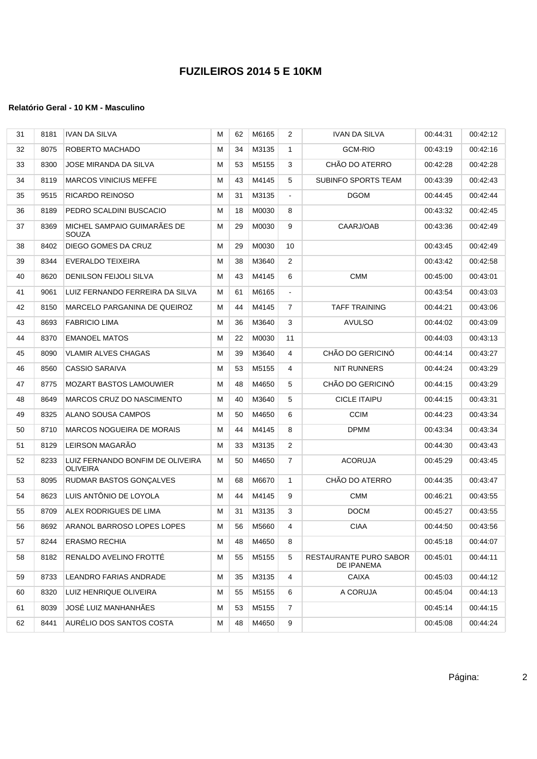| 31 | 8181 | <b>IVAN DA SILVA</b>                                | м | 62 | M6165 | 2              | <b>IVAN DA SILVA</b>                 | 00:44:31 | 00:42:12 |
|----|------|-----------------------------------------------------|---|----|-------|----------------|--------------------------------------|----------|----------|
| 32 | 8075 | ROBERTO MACHADO                                     | м | 34 | M3135 | $\mathbf{1}$   | <b>GCM-RIO</b>                       | 00:43:19 | 00:42:16 |
| 33 | 8300 | JOSE MIRANDA DA SILVA                               | м | 53 | M5155 | 3              | CHÃO DO ATERRO                       | 00:42:28 | 00:42:28 |
| 34 | 8119 | <b>MARCOS VINICIUS MEFFE</b>                        | м | 43 | M4145 | 5              | <b>SUBINFO SPORTS TEAM</b>           | 00:43:39 | 00:42:43 |
| 35 | 9515 | RICARDO REINOSO                                     | М | 31 | M3135 | $\blacksquare$ | <b>DGOM</b>                          | 00:44:45 | 00:42:44 |
| 36 | 8189 | PEDRO SCALDINI BUSCACIO                             | М | 18 | M0030 | 8              |                                      | 00:43:32 | 00:42:45 |
| 37 | 8369 | MICHEL SAMPAIO GUIMARAES DE<br><b>SOUZA</b>         | М | 29 | M0030 | 9              | CAARJ/OAB                            | 00:43:36 | 00:42:49 |
| 38 | 8402 | DIEGO GOMES DA CRUZ                                 | М | 29 | M0030 | 10             |                                      | 00:43:45 | 00:42:49 |
| 39 | 8344 | EVERALDO TEIXEIRA                                   | М | 38 | M3640 | 2              |                                      | 00:43:42 | 00:42:58 |
| 40 | 8620 | DENILSON FEIJOLI SILVA                              | М | 43 | M4145 | 6              | <b>CMM</b>                           | 00:45:00 | 00:43:01 |
| 41 | 9061 | LUIZ FERNANDO FERREIRA DA SILVA                     | М | 61 | M6165 | $\blacksquare$ |                                      | 00:43:54 | 00:43:03 |
| 42 | 8150 | MARCELO PARGANINA DE QUEIROZ                        | м | 44 | M4145 | $\overline{7}$ | <b>TAFF TRAINING</b>                 | 00:44:21 | 00:43:06 |
| 43 | 8693 | <b>FABRICIO LIMA</b>                                | М | 36 | M3640 | 3              | <b>AVULSO</b>                        | 00:44:02 | 00:43:09 |
| 44 | 8370 | <b>EMANOEL MATOS</b>                                | м | 22 | M0030 | 11             |                                      | 00:44:03 | 00:43:13 |
| 45 | 8090 | <b>VLAMIR ALVES CHAGAS</b>                          | М | 39 | M3640 | 4              | CHÃO DO GERICINÓ                     | 00:44:14 | 00:43:27 |
| 46 | 8560 | <b>CASSIO SARAIVA</b>                               | М | 53 | M5155 | 4              | <b>NIT RUNNERS</b>                   | 00.44.24 | 00:43:29 |
| 47 | 8775 | <b>MOZART BASTOS LAMOUWIER</b>                      | м | 48 | M4650 | 5              | CHÃO DO GERICINÓ                     | 00:44:15 | 00:43:29 |
| 48 | 8649 | MARCOS CRUZ DO NASCIMENTO                           | М | 40 | M3640 | 5              | <b>CICLE ITAIPU</b>                  | 00:44:15 | 00:43:31 |
| 49 | 8325 | ALANO SOUSA CAMPOS                                  | м | 50 | M4650 | 6              | <b>CCIM</b>                          | 00.44.23 | 00:43:34 |
| 50 | 8710 | <b>MARCOS NOGUEIRA DE MORAIS</b>                    | м | 44 | M4145 | 8              | <b>DPMM</b>                          | 00:43:34 | 00:43:34 |
| 51 | 8129 | LEIRSON MAGARÃO                                     | м | 33 | M3135 | 2              |                                      | 00:44:30 | 00:43:43 |
| 52 | 8233 | LUIZ FERNANDO BONFIM DE OLIVEIRA<br><b>OLIVEIRA</b> | М | 50 | M4650 | $\overline{7}$ | <b>ACORUJA</b>                       | 00:45:29 | 00:43:45 |
| 53 | 8095 | RUDMAR BASTOS GONCALVES                             | м | 68 | M6670 | $\mathbf{1}$   | CHÃO DO ATERRO                       | 00:44:35 | 00:43:47 |
| 54 | 8623 | LUIS ANTÔNIO DE LOYOLA                              | м | 44 | M4145 | 9              | <b>CMM</b>                           | 00:46:21 | 00:43:55 |
| 55 | 8709 | ALEX RODRIGUES DE LIMA                              | м | 31 | M3135 | 3              | DOCM                                 | 00:45:27 | 00:43:55 |
| 56 | 8692 | ARANOL BARROSO LOPES LOPES                          | м | 56 | M5660 | 4              | <b>CIAA</b>                          | 00:44:50 | 00:43:56 |
| 57 | 8244 | <b>ERASMO RECHIA</b>                                | м | 48 | M4650 | 8              |                                      | 00:45:18 | 00:44:07 |
| 58 | 8182 | RENALDO AVELINO FROTTE                              | М | 55 | M5155 | 5              | RESTAURANTE PURO SABOR<br>DE IPANEMA | 00:45:01 | 00:44:11 |
| 59 | 8733 | LEANDRO FARIAS ANDRADE                              | м | 35 | M3135 | 4              | <b>CAIXA</b>                         | 00:45:03 | 00:44:12 |
| 60 | 8320 | LUIZ HENRIQUE OLIVEIRA                              | м | 55 | M5155 | 6              | A CORUJA                             | 00:45:04 | 00:44:13 |
| 61 | 8039 | JOSÉ LUIZ MANHANHÃES                                | м | 53 | M5155 | $\overline{7}$ |                                      | 00:45:14 | 00:44:15 |
| 62 | 8441 | AURÉLIO DOS SANTOS COSTA                            | М | 48 | M4650 | 9              |                                      | 00:45:08 | 00:44:24 |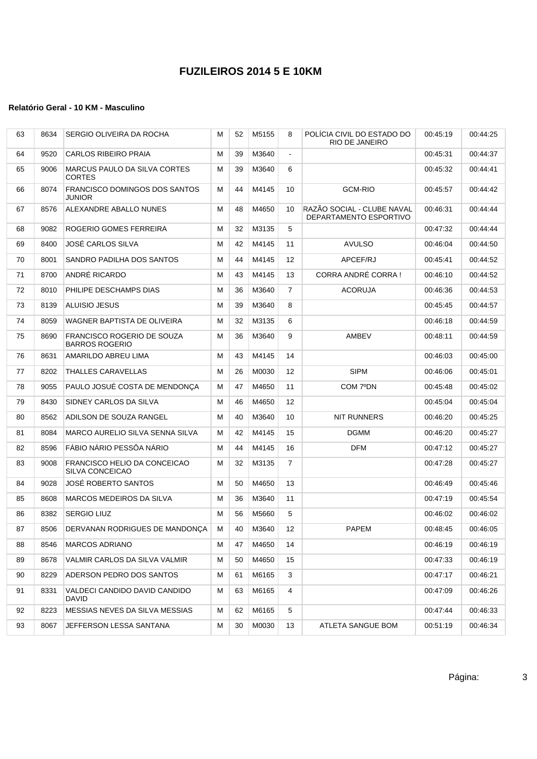| 63 | 8634 | SERGIO OLIVEIRA DA ROCHA                              | м | 52 | M5155 | 8              | POLICIA CIVIL DO ESTADO DO<br>RIO DE JANEIRO         | 00:45:19 | 00:44:25 |
|----|------|-------------------------------------------------------|---|----|-------|----------------|------------------------------------------------------|----------|----------|
| 64 | 9520 | <b>CARLOS RIBEIRO PRAIA</b>                           | м | 39 | M3640 | $\blacksquare$ |                                                      | 00:45:31 | 00:44:37 |
| 65 | 9006 | MARCUS PAULO DA SILVA CORTES<br><b>CORTES</b>         | м | 39 | M3640 | 6              |                                                      | 00:45:32 | 00:44:41 |
| 66 | 8074 | <b>FRANCISCO DOMINGOS DOS SANTOS</b><br><b>JUNIOR</b> | м | 44 | M4145 | 10             | <b>GCM-RIO</b>                                       | 00:45:57 | 00:44:42 |
| 67 | 8576 | ALEXANDRE ABALLO NUNES                                | М | 48 | M4650 | 10             | RAZÃO SOCIAL - CLUBE NAVAL<br>DEPARTAMENTO ESPORTIVO | 00:46:31 | 00:44:44 |
| 68 | 9082 | ROGERIO GOMES FERREIRA                                | м | 32 | M3135 | 5              |                                                      | 00:47:32 | 00:44:44 |
| 69 | 8400 | <b>JOSÉ CARLOS SILVA</b>                              | М | 42 | M4145 | 11             | <b>AVULSO</b>                                        | 00:46:04 | 00:44:50 |
| 70 | 8001 | SANDRO PADILHA DOS SANTOS                             | М | 44 | M4145 | 12             | APCEF/RJ                                             | 00:45:41 | 00:44:52 |
| 71 | 8700 | ANDRÉ RICARDO                                         | м | 43 | M4145 | 13             | CORRA ANDRÉ CORRA!                                   | 00:46:10 | 00:44:52 |
| 72 | 8010 | PHILIPE DESCHAMPS DIAS                                | м | 36 | M3640 | $\overline{7}$ | <b>ACORUJA</b>                                       | 00:46:36 | 00:44:53 |
| 73 | 8139 | ALUISIO JESUS                                         | М | 39 | M3640 | 8              |                                                      | 00:45:45 | 00:44:57 |
| 74 | 8059 | WAGNER BAPTISTA DE OLIVEIRA                           | м | 32 | M3135 | 6              |                                                      | 00:46:18 | 00:44:59 |
| 75 | 8690 | FRANCISCO ROGERIO DE SOUZA<br><b>BARROS ROGERIO</b>   | М | 36 | M3640 | 9              | AMBEV                                                | 00:48:11 | 00:44:59 |
| 76 | 8631 | AMARILDO ABREU LIMA                                   | м | 43 | M4145 | 14             |                                                      | 00:46:03 | 00:45:00 |
| 77 | 8202 | <b>THALLES CARAVELLAS</b>                             | м | 26 | M0030 | 12             | <b>SIPM</b>                                          | 00:46:06 | 00:45:01 |
| 78 | 9055 | PAULO JOSUÉ COSTA DE MENDONCA                         | м | 47 | M4650 | 11             | COM 7ºDN                                             | 00:45:48 | 00:45:02 |
| 79 | 8430 | SIDNEY CARLOS DA SILVA                                | м | 46 | M4650 | 12             |                                                      | 00:45:04 | 00:45:04 |
| 80 | 8562 | ADILSON DE SOUZA RANGEL                               | М | 40 | M3640 | 10             | <b>NIT RUNNERS</b>                                   | 00:46:20 | 00:45:25 |
| 81 | 8084 | MARCO AURELIO SILVA SENNA SILVA                       | М | 42 | M4145 | 15             | <b>DGMM</b>                                          | 00:46:20 | 00:45:27 |
| 82 | 8596 | FÁBIO NÁRIO PESSÔA NÁRIO                              | М | 44 | M4145 | 16             | <b>DFM</b>                                           | 00:47:12 | 00:45:27 |
| 83 | 9008 | FRANCISCO HELIO DA CONCEICAO<br>SILVA CONCEICAO       | М | 32 | M3135 | $\overline{7}$ |                                                      | 00:47:28 | 00:45:27 |
| 84 | 9028 | JOSÉ ROBERTO SANTOS                                   | М | 50 | M4650 | 13             |                                                      | 00:46:49 | 00:45:46 |
| 85 | 8608 | MARCOS MEDEIROS DA SILVA                              | М | 36 | M3640 | 11             |                                                      | 00:47:19 | 00:45:54 |
| 86 | 8382 | <b>SERGIO LIUZ</b>                                    | М | 56 | M5660 | 5              |                                                      | 00:46:02 | 00:46:02 |
| 87 | 8506 | DERVANAN RODRIGUES DE MANDONÇA                        | М | 40 | M3640 | 12             | PAPEM                                                | 00:48:45 | 00:46:05 |
| 88 | 8546 | <b>MARCOS ADRIANO</b>                                 | м | 47 | M4650 | 14             |                                                      | 00:46:19 | 00:46:19 |
| 89 | 8678 | VALMIR CARLOS DA SILVA VALMIR                         | м | 50 | M4650 | 15             |                                                      | 00:47:33 | 00:46:19 |
| 90 | 8229 | ADERSON PEDRO DOS SANTOS                              | м | 61 | M6165 | 3              |                                                      | 00:47:17 | 00:46:21 |
| 91 | 8331 | VALDECI CANDIDO DAVID CANDIDO<br><b>DAVID</b>         | м | 63 | M6165 | 4              |                                                      | 00:47:09 | 00:46:26 |
| 92 | 8223 | MESSIAS NEVES DA SILVA MESSIAS                        | м | 62 | M6165 | 5              |                                                      | 00:47:44 | 00:46:33 |
| 93 | 8067 | JEFFERSON LESSA SANTANA                               | м | 30 | M0030 | 13             | ATLETA SANGUE BOM                                    | 00:51:19 | 00:46:34 |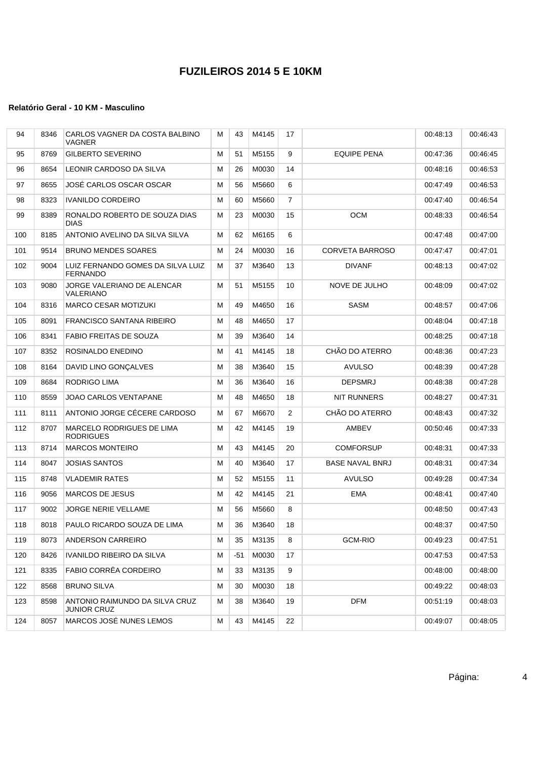| 94  | 8346 | CARLOS VAGNER DA COSTA BALBINO<br>VAGNER             | м | 43  | M4145 | 17             |                        | 00:48:13 | 00:46:43 |
|-----|------|------------------------------------------------------|---|-----|-------|----------------|------------------------|----------|----------|
| 95  | 8769 | <b>GILBERTO SEVERINO</b>                             | м | 51  | M5155 | 9              | <b>EQUIPE PENA</b>     | 00:47:36 | 00:46:45 |
| 96  | 8654 | LEONIR CARDOSO DA SILVA                              | М | 26  | M0030 | 14             |                        | 00:48:16 | 00:46:53 |
| 97  | 8655 | JOSÉ CARLOS OSCAR OSCAR                              | М | 56  | M5660 | 6              |                        | 00.47.49 | 00:46:53 |
| 98  | 8323 | <b>IVANILDO CORDEIRO</b>                             | М | 60  | M5660 | $\overline{7}$ |                        | 00:47:40 | 00:46:54 |
| 99  | 8389 | RONALDO ROBERTO DE SOUZA DIAS<br><b>DIAS</b>         | M | 23  | M0030 | 15             | <b>OCM</b>             | 00:48:33 | 00:46:54 |
| 100 | 8185 | ANTONIO AVELINO DA SILVA SILVA                       | М | 62  | M6165 | 6              |                        | 00:47:48 | 00:47:00 |
| 101 | 9514 | <b>BRUNO MENDES SOARES</b>                           | М | 24  | M0030 | 16             | <b>CORVETA BARROSO</b> | 00:47:47 | 00:47:01 |
| 102 | 9004 | LUIZ FERNANDO GOMES DA SILVA LUIZ<br><b>FERNANDO</b> | М | 37  | M3640 | 13             | <b>DIVANF</b>          | 00:48:13 | 00:47:02 |
| 103 | 9080 | JORGE VALERIANO DE ALENCAR<br>VALERIANO              | М | 51  | M5155 | 10             | NOVE DE JULHO          | 00:48:09 | 00:47:02 |
| 104 | 8316 | <b>MARCO CESAR MOTIZUKI</b>                          | М | 49  | M4650 | 16             | SASM                   | 00:48:57 | 00:47:06 |
| 105 | 8091 | <b>FRANCISCO SANTANA RIBEIRO</b>                     | М | 48  | M4650 | 17             |                        | 00:48:04 | 00:47:18 |
| 106 | 8341 | <b>FABIO FREITAS DE SOUZA</b>                        | М | 39  | M3640 | 14             |                        | 00:48:25 | 00:47:18 |
| 107 | 8352 | ROSINALDO ENEDINO                                    | М | 41  | M4145 | 18             | CHÃO DO ATERRO         | 00:48:36 | 00:47:23 |
| 108 | 8164 | DAVID LINO GONÇALVES                                 | М | 38  | M3640 | 15             | <b>AVULSO</b>          | 00:48:39 | 00:47:28 |
| 109 | 8684 | RODRIGO LIMA                                         | М | 36  | M3640 | 16             | <b>DEPSMRJ</b>         | 00:48:38 | 00:47:28 |
| 110 | 8559 | JOAO CARLOS VENTAPANE                                | М | 48  | M4650 | 18             | <b>NIT RUNNERS</b>     | 00:48:27 | 00:47:31 |
| 111 | 8111 | ANTONIO JORGE CÉCERE CARDOSO                         | М | 67  | M6670 | 2              | CHÃO DO ATERRO         | 00:48:43 | 00:47:32 |
| 112 | 8707 | MARCELO RODRIGUES DE LIMA<br><b>RODRIGUES</b>        | М | 42  | M4145 | 19             | AMBEV                  | 00:50:46 | 00:47:33 |
| 113 | 8714 | <b>MARCOS MONTEIRO</b>                               | М | 43  | M4145 | 20             | <b>COMFORSUP</b>       | 00:48:31 | 00:47:33 |
| 114 | 8047 | <b>JOSIAS SANTOS</b>                                 | М | 40  | M3640 | 17             | <b>BASE NAVAL BNRJ</b> | 00:48:31 | 00:47:34 |
| 115 | 8748 | <b>VLADEMIR RATES</b>                                | м | 52  | M5155 | 11             | <b>AVULSO</b>          | 00:49:28 | 00:47:34 |
| 116 | 9056 | <b>MARCOS DE JESUS</b>                               | М | 42  | M4145 | 21             | <b>EMA</b>             | 00:48:41 | 00:47:40 |
| 117 | 9002 | <b>JORGE NERIE VELLAME</b>                           | М | 56  | M5660 | 8              |                        | 00:48:50 | 00:47:43 |
| 118 | 8018 | PAULO RICARDO SOUZA DE LIMA                          | М | 36  | M3640 | 18             |                        | 00:48:37 | 00:47:50 |
| 119 | 8073 | ANDERSON CARREIRO                                    | М | 35  | M3135 | 8              | <b>GCM-RIO</b>         | 00:49:23 | 00:47:51 |
| 120 | 8426 | IVANILDO RIBEIRO DA SILVA                            | М | -51 | M0030 | 17             |                        | 00.47.53 | 00:47:53 |
| 121 | 8335 | FABIO CORRÊA CORDEIRO                                | М | 33  | M3135 | 9              |                        | 00:48:00 | 00:48:00 |
| 122 | 8568 | <b>BRUNO SILVA</b>                                   | М | 30  | M0030 | 18             |                        | 00:49:22 | 00:48:03 |
| 123 | 8598 | ANTONIO RAIMUNDO DA SILVA CRUZ<br><b>JUNIOR CRUZ</b> | M | 38  | M3640 | 19             | DFM                    | 00:51:19 | 00:48:03 |
| 124 | 8057 | MARCOS JOSÉ NUNES LEMOS                              | М | 43  | M4145 | 22             |                        | 00:49:07 | 00:48:05 |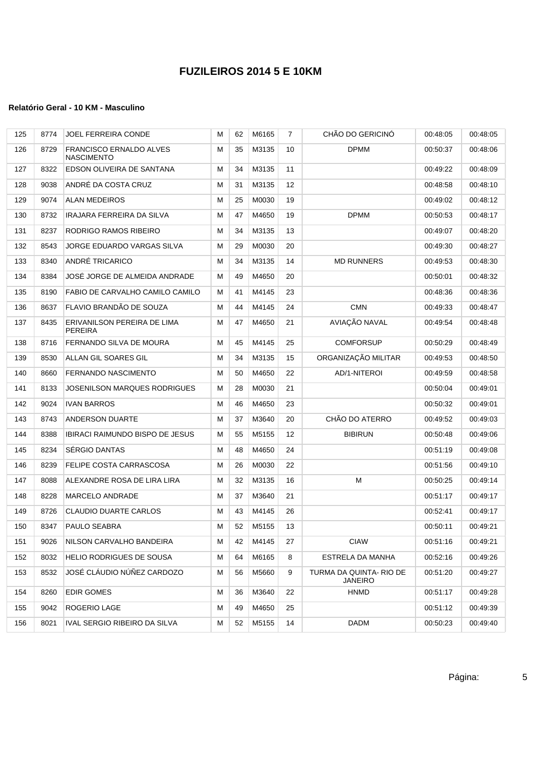| 125 | 8774 | JOEL FERREIRA CONDE                                 | М | 62 | M6165 | 7  | CHÃO DO GERICINÓ                   | 00:48:05 | 00:48:05 |
|-----|------|-----------------------------------------------------|---|----|-------|----|------------------------------------|----------|----------|
| 126 | 8729 | <b>FRANCISCO ERNALDO ALVES</b><br><b>NASCIMENTO</b> | М | 35 | M3135 | 10 | <b>DPMM</b>                        | 00:50:37 | 00:48:06 |
| 127 | 8322 | EDSON OLIVEIRA DE SANTANA                           | М | 34 | M3135 | 11 |                                    | 00:49:22 | 00:48:09 |
| 128 | 9038 | ANDRÉ DA COSTA CRUZ                                 | М | 31 | M3135 | 12 |                                    | 00:48:58 | 00:48:10 |
| 129 | 9074 | <b>ALAN MEDEIROS</b>                                | М | 25 | M0030 | 19 |                                    | 00:49:02 | 00:48:12 |
| 130 | 8732 | IRAJARA FERREIRA DA SILVA                           | М | 47 | M4650 | 19 | <b>DPMM</b>                        | 00:50:53 | 00:48:17 |
| 131 | 8237 | RODRIGO RAMOS RIBEIRO                               | м | 34 | M3135 | 13 |                                    | 00:49:07 | 00:48:20 |
| 132 | 8543 | JORGE EDUARDO VARGAS SILVA                          | М | 29 | M0030 | 20 |                                    | 00:49:30 | 00:48:27 |
| 133 | 8340 | ANDRÉ TRICARICO                                     | м | 34 | M3135 | 14 | <b>MD RUNNERS</b>                  | 00:49:53 | 00:48:30 |
| 134 | 8384 | JOSE JORGE DE ALMEIDA ANDRADE                       | м | 49 | M4650 | 20 |                                    | 00:50:01 | 00:48:32 |
| 135 | 8190 | FABIO DE CARVALHO CAMILO CAMILO                     | М | 41 | M4145 | 23 |                                    | 00:48:36 | 00:48:36 |
| 136 | 8637 | FLAVIO BRANDÃO DE SOUZA                             | м | 44 | M4145 | 24 | <b>CMN</b>                         | 00:49:33 | 00:48:47 |
| 137 | 8435 | ERIVANILSON PEREIRA DE LIMA<br>PEREIRA              | М | 47 | M4650 | 21 | AVIAÇÃO NAVAL                      | 00:49:54 | 00:48:48 |
| 138 | 8716 | FERNANDO SILVA DE MOURA                             | М | 45 | M4145 | 25 | <b>COMFORSUP</b>                   | 00:50:29 | 00:48:49 |
| 139 | 8530 | ALLAN GIL SOARES GIL                                | М | 34 | M3135 | 15 | ORGANIZAÇÃO MILITAR                | 00:49:53 | 00:48:50 |
| 140 | 8660 | FERNANDO NASCIMENTO                                 | М | 50 | M4650 | 22 | AD/1-NITEROI                       | 00:49:59 | 00:48:58 |
| 141 | 8133 | JOSENILSON MARQUES RODRIGUES                        | м | 28 | M0030 | 21 |                                    | 00:50:04 | 00:49:01 |
| 142 | 9024 | <b>IVAN BARROS</b>                                  | м | 46 | M4650 | 23 |                                    | 00:50:32 | 00:49:01 |
| 143 | 8743 | ANDERSON DUARTE                                     | М | 37 | M3640 | 20 | CHÃO DO ATERRO                     | 00:49:52 | 00:49:03 |
| 144 | 8388 | <b>IBIRACI RAIMUNDO BISPO DE JESUS</b>              | м | 55 | M5155 | 12 | <b>BIBIRUN</b>                     | 00:50:48 | 00:49:06 |
| 145 | 8234 | SÉRGIO DANTAS                                       | М | 48 | M4650 | 24 |                                    | 00:51:19 | 00:49:08 |
| 146 | 8239 | FELIPE COSTA CARRASCOSA                             | М | 26 | M0030 | 22 |                                    | 00:51:56 | 00:49:10 |
| 147 | 8088 | ALEXANDRE ROSA DE LIRA LIRA                         | м | 32 | M3135 | 16 | M                                  | 00:50:25 | 00:49:14 |
| 148 | 8228 | MARCELO ANDRADE                                     | М | 37 | M3640 | 21 |                                    | 00:51:17 | 00:49:17 |
| 149 | 8726 | <b>CLAUDIO DUARTE CARLOS</b>                        | м | 43 | M4145 | 26 |                                    | 00:52:41 | 00:49:17 |
| 150 | 8347 | PAULO SEABRA                                        | М | 52 | M5155 | 13 |                                    | 00:50:11 | 00:49:21 |
| 151 | 9026 | NILSON CARVALHO BANDEIRA                            | м | 42 | M4145 | 27 | <b>CIAW</b>                        | 00:51:16 | 00:49:21 |
| 152 | 8032 | HELIO RODRIGUES DE SOUSA                            | M | 64 | M6165 | 8  | ESTRELA DA MANHA                   | 00:52:16 | 00:49:26 |
| 153 | 8532 | JOSÉ CLÁUDIO NÚÑEZ CARDOZO                          | м | 56 | M5660 | 9  | TURMA DA QUINTA- RIO DE<br>JANEIRO | 00:51:20 | 00:49:27 |
| 154 | 8260 | <b>EDIR GOMES</b>                                   | М | 36 | M3640 | 22 | <b>HNMD</b>                        | 00:51:17 | 00:49:28 |
| 155 | 9042 | ROGERIO LAGE                                        | м | 49 | M4650 | 25 |                                    | 00:51:12 | 00:49:39 |
| 156 | 8021 | IVAL SERGIO RIBEIRO DA SILVA                        | M | 52 | M5155 | 14 | DADM                               | 00:50:23 | 00:49:40 |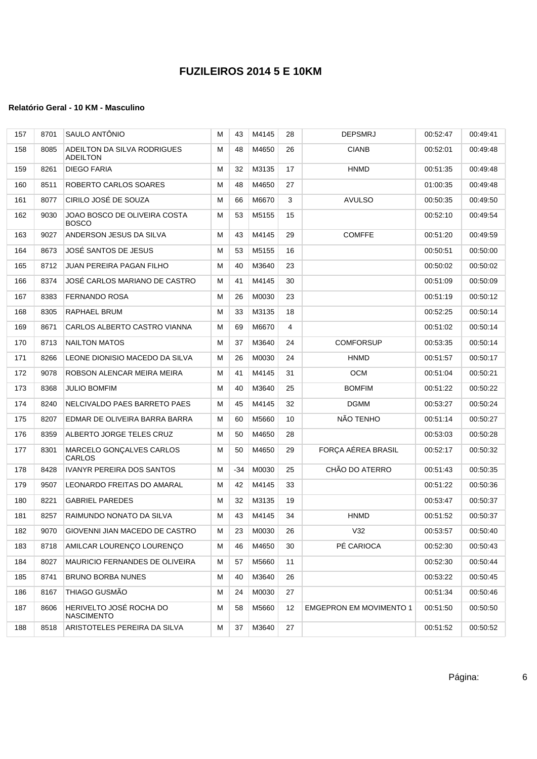| 157 | 8701 | SAULO ANTÔNIO                                  | M | 43    | M4145 | 28 | <b>DEPSMRJ</b>                 | 00:52:47 | 00:49:41 |
|-----|------|------------------------------------------------|---|-------|-------|----|--------------------------------|----------|----------|
| 158 | 8085 | ADEILTON DA SILVA RODRIGUES<br><b>ADEILTON</b> | М | 48    | M4650 | 26 | <b>CIANB</b>                   | 00:52:01 | 00:49:48 |
| 159 | 8261 | DIEGO FARIA                                    | М | 32    | M3135 | 17 | <b>HNMD</b>                    | 00:51:35 | 00:49:48 |
| 160 | 8511 | ROBERTO CARLOS SOARES                          | М | 48    | M4650 | 27 |                                | 01:00:35 | 00:49:48 |
| 161 | 8077 | CIRILO JOSÉ DE SOUZA                           | М | 66    | M6670 | 3  | <b>AVULSO</b>                  | 00:50:35 | 00:49:50 |
| 162 | 9030 | JOAO BOSCO DE OLIVEIRA COSTA<br><b>BOSCO</b>   | М | 53    | M5155 | 15 |                                | 00:52:10 | 00:49:54 |
| 163 | 9027 | ANDERSON JESUS DA SILVA                        | М | 43    | M4145 | 29 | <b>COMFFE</b>                  | 00:51:20 | 00:49:59 |
| 164 | 8673 | JOSÉ SANTOS DE JESUS                           | М | 53    | M5155 | 16 |                                | 00:50:51 | 00:50:00 |
| 165 | 8712 | JUAN PEREIRA PAGAN FILHO                       | М | 40    | M3640 | 23 |                                | 00:50:02 | 00:50:02 |
| 166 | 8374 | JOSÉ CARLOS MARIANO DE CASTRO                  | М | 41    | M4145 | 30 |                                | 00:51:09 | 00:50:09 |
| 167 | 8383 | FERNANDO ROSA                                  | М | 26    | M0030 | 23 |                                | 00:51:19 | 00:50:12 |
| 168 | 8305 | RAPHAEL BRUM                                   | М | 33    | M3135 | 18 |                                | 00:52:25 | 00:50:14 |
| 169 | 8671 | CARLOS ALBERTO CASTRO VIANNA                   | М | 69    | M6670 | 4  |                                | 00:51:02 | 00:50:14 |
| 170 | 8713 | <b>NAILTON MATOS</b>                           | М | 37    | M3640 | 24 | <b>COMFORSUP</b>               | 00:53:35 | 00:50:14 |
| 171 | 8266 | LEONE DIONISIO MACEDO DA SILVA                 | М | 26    | M0030 | 24 | <b>HNMD</b>                    | 00:51:57 | 00:50:17 |
| 172 | 9078 | ROBSON ALENCAR MEIRA MEIRA                     | М | 41    | M4145 | 31 | <b>OCM</b>                     | 00:51:04 | 00:50:21 |
| 173 | 8368 | <b>JULIO BOMFIM</b>                            | M | 40    | M3640 | 25 | <b>BOMFIM</b>                  | 00:51:22 | 00:50:22 |
| 174 | 8240 | NELCIVALDO PAES BARRETO PAES                   | М | 45    | M4145 | 32 | <b>DGMM</b>                    | 00:53:27 | 00:50:24 |
| 175 | 8207 | EDMAR DE OLIVEIRA BARRA BARRA                  | М | 60    | M5660 | 10 | NÃO TENHO                      | 00:51:14 | 00:50:27 |
| 176 | 8359 | ALBERTO JORGE TELES CRUZ                       | М | 50    | M4650 | 28 |                                | 00:53:03 | 00:50:28 |
| 177 | 8301 | MARCELO GONÇALVES CARLOS<br>CARLOS             | М | 50    | M4650 | 29 | FORÇA AÉREA BRASIL             | 00:52:17 | 00:50:32 |
| 178 | 8428 | <b>IVANYR PEREIRA DOS SANTOS</b>               | М | $-34$ | M0030 | 25 | CHÃO DO ATERRO                 | 00:51:43 | 00:50:35 |
| 179 | 9507 | LEONARDO FREITAS DO AMARAL                     | М | 42    | M4145 | 33 |                                | 00:51:22 | 00:50:36 |
| 180 | 8221 | <b>GABRIEL PAREDES</b>                         | м | 32    | M3135 | 19 |                                | 00:53:47 | 00:50:37 |
| 181 | 8257 | RAIMUNDO NONATO DA SILVA                       | М | 43    | M4145 | 34 | <b>HNMD</b>                    | 00:51:52 | 00:50:37 |
| 182 | 9070 | GIOVENNI JIAN MACEDO DE CASTRO                 | М | 23    | M0030 | 26 | V32                            | 00:53:57 | 00:50:40 |
| 183 | 8718 | AMILCAR LOURENÇO LOURENÇO                      | М | 46    | M4650 | 30 | PÉ CARIOCA                     | 00:52:30 | 00:50:43 |
| 184 | 8027 | <b>MAURICIO FERNANDES DE OLIVEIRA</b>          | М | 57    | M5660 | 11 |                                | 00:52:30 | 00:50:44 |
| 185 | 8741 | <b>BRUNO BORBA NUNES</b>                       | М | 40    | M3640 | 26 |                                | 00:53:22 | 00:50:45 |
| 186 | 8167 | THIAGO GUSMÃO                                  | М | 24    | M0030 | 27 |                                | 00:51:34 | 00:50:46 |
| 187 | 8606 | HERIVELTO JOSÉ ROCHA DO<br><b>NASCIMENTO</b>   | М | 58    | M5660 | 12 | <b>EMGEPRON EM MOVIMENTO 1</b> | 00:51:50 | 00:50:50 |
| 188 | 8518 | ARISTOTELES PEREIRA DA SILVA                   | M | 37    | M3640 | 27 |                                | 00:51:52 | 00:50:52 |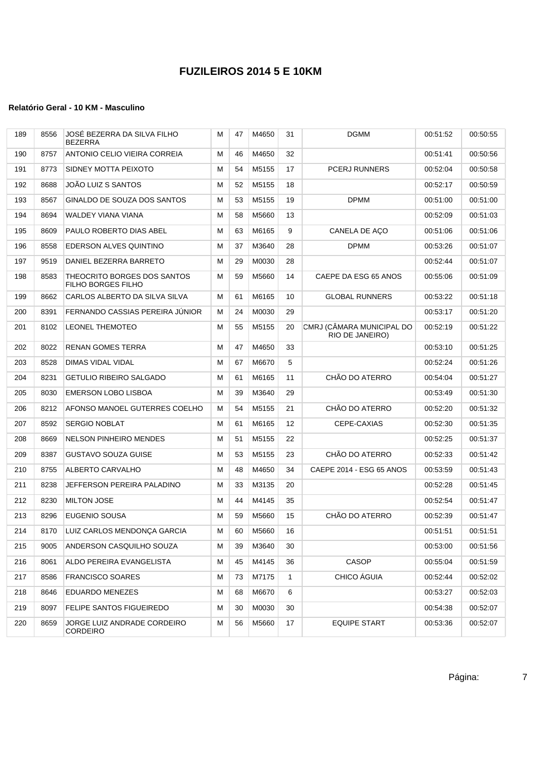| 189 | 8556 | JOSE BEZERRA DA SILVA FILHO<br><b>BEZERRA</b>            | м | 47 | M4650 | 31           | <b>DGMM</b>                                         | 00:51:52 | 00:50:55 |
|-----|------|----------------------------------------------------------|---|----|-------|--------------|-----------------------------------------------------|----------|----------|
| 190 | 8757 | ANTONIO CELIO VIEIRA CORREIA                             | м | 46 | M4650 | 32           |                                                     | 00:51:41 | 00:50:56 |
| 191 | 8773 | SIDNEY MOTTA PEIXOTO                                     | М | 54 | M5155 | 17           | PCERJ RUNNERS                                       | 00:52:04 | 00:50:58 |
| 192 | 8688 | JOÃO LUIZ S SANTOS                                       | М | 52 | M5155 | 18           |                                                     | 00:52:17 | 00:50:59 |
| 193 | 8567 | GINALDO DE SOUZA DOS SANTOS                              | М | 53 | M5155 | 19           | <b>DPMM</b>                                         | 00:51:00 | 00:51:00 |
| 194 | 8694 | WALDEY VIANA VIANA                                       | М | 58 | M5660 | 13           |                                                     | 00:52:09 | 00:51:03 |
| 195 | 8609 | PAULO ROBERTO DIAS ABEL                                  | м | 63 | M6165 | 9            | CANELA DE AÇO                                       | 00:51:06 | 00:51:06 |
| 196 | 8558 | EDERSON ALVES QUINTINO                                   | М | 37 | M3640 | 28           | <b>DPMM</b>                                         | 00:53:26 | 00:51:07 |
| 197 | 9519 | DANIEL BEZERRA BARRETO                                   | м | 29 | M0030 | 28           |                                                     | 00:52:44 | 00:51:07 |
| 198 | 8583 | THEOCRITO BORGES DOS SANTOS<br><b>FILHO BORGES FILHO</b> | М | 59 | M5660 | 14           | CAEPE DA ESG 65 ANOS                                | 00:55:06 | 00:51:09 |
| 199 | 8662 | CARLOS ALBERTO DA SILVA SILVA                            | м | 61 | M6165 | 10           | <b>GLOBAL RUNNERS</b>                               | 00:53:22 | 00:51:18 |
| 200 | 8391 | FERNANDO CASSIAS PEREIRA JÚNIOR                          | м | 24 | M0030 | 29           |                                                     | 00:53:17 | 00:51:20 |
| 201 | 8102 | <b>LEONEL THEMOTEO</b>                                   | М | 55 | M5155 | 20           | CMRJ (CÂMARA MUNICIPAL DO<br><b>RIO DE JANEIRO)</b> | 00:52:19 | 00:51:22 |
| 202 | 8022 | <b>RENAN GOMES TERRA</b>                                 | м | 47 | M4650 | 33           |                                                     | 00:53:10 | 00:51:25 |
| 203 | 8528 | DIMAS VIDAL VIDAL                                        | М | 67 | M6670 | 5            |                                                     | 00:52:24 | 00:51:26 |
| 204 | 8231 | <b>GETULIO RIBEIRO SALGADO</b>                           | м | 61 | M6165 | 11           | CHÃO DO ATERRO                                      | 00:54:04 | 00:51:27 |
| 205 | 8030 | <b>EMERSON LOBO LISBOA</b>                               | М | 39 | M3640 | 29           |                                                     | 00:53:49 | 00:51:30 |
| 206 | 8212 | AFONSO MANOEL GUTERRES COELHO                            | м | 54 | M5155 | 21           | CHÃO DO ATERRO                                      | 00:52:20 | 00:51:32 |
| 207 | 8592 | <b>SERGIO NOBLAT</b>                                     | м | 61 | M6165 | 12           | CEPE-CAXIAS                                         | 00:52:30 | 00:51:35 |
| 208 | 8669 | <b>NELSON PINHEIRO MENDES</b>                            | М | 51 | M5155 | 22           |                                                     | 00:52:25 | 00:51:37 |
| 209 | 8387 | <b>GUSTAVO SOUZA GUISE</b>                               | М | 53 | M5155 | 23           | CHÃO DO ATERRO                                      | 00:52:33 | 00:51:42 |
| 210 | 8755 | ALBERTO CARVALHO                                         | М | 48 | M4650 | 34           | CAEPE 2014 - ESG 65 ANOS                            | 00:53:59 | 00:51:43 |
| 211 | 8238 | JEFFERSON PEREIRA PALADINO                               | М | 33 | M3135 | 20           |                                                     | 00:52:28 | 00:51:45 |
| 212 | 8230 | <b>MILTON JOSE</b>                                       | м | 44 | M4145 | 35           |                                                     | 00:52:54 | 00:51:47 |
| 213 | 8296 | EUGENIO SOUSA                                            | М | 59 | M5660 | 15           | CHÃO DO ATERRO                                      | 00:52:39 | 00:51:47 |
| 214 | 8170 | LUIZ CARLOS MENDONÇA GARCIA                              | M | 60 | M5660 | 16           |                                                     | 00:51:51 | 00:51:51 |
| 215 | 9005 | ANDERSON CASQUILHO SOUZA                                 | м | 39 | M3640 | 30           |                                                     | 00:53:00 | 00:51:56 |
| 216 | 8061 | ALDO PEREIRA EVANGELISTA                                 | м | 45 | M4145 | 36           | CASOP                                               | 00:55:04 | 00:51:59 |
| 217 | 8586 | <b>FRANCISCO SOARES</b>                                  | М | 73 | M7175 | $\mathbf{1}$ | CHICO ÁGUIA                                         | 00:52:44 | 00:52:02 |
| 218 | 8646 | <b>EDUARDO MENEZES</b>                                   | м | 68 | M6670 | 6            |                                                     | 00:53:27 | 00:52:03 |
| 219 | 8097 | FELIPE SANTOS FIGUEIREDO                                 | м | 30 | M0030 | 30           |                                                     | 00:54:38 | 00:52:07 |
| 220 | 8659 | JORGE LUIZ ANDRADE CORDEIRO<br><b>CORDEIRO</b>           | M | 56 | M5660 | 17           | <b>EQUIPE START</b>                                 | 00:53:36 | 00:52:07 |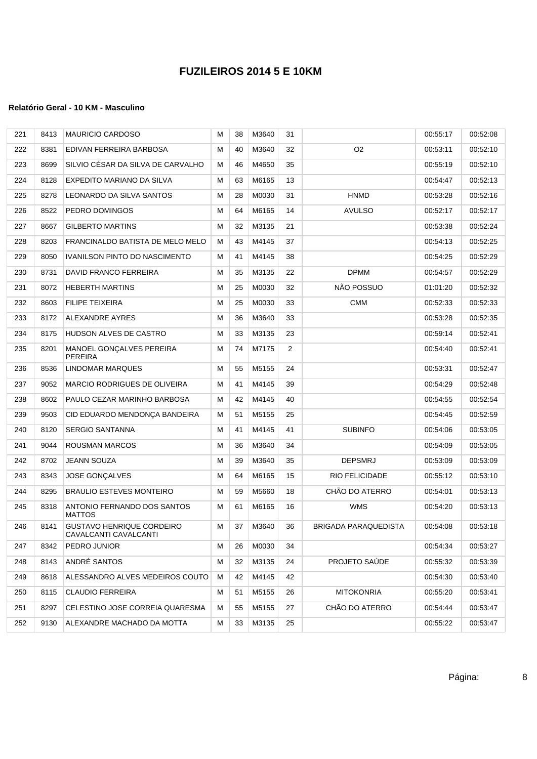| 221 | 8413 | <b>MAURICIO CARDOSO</b>                                   | М | 38 | M3640 | 31 |                      | 00:55:17 | 00:52:08 |
|-----|------|-----------------------------------------------------------|---|----|-------|----|----------------------|----------|----------|
| 222 | 8381 | EDIVAN FERREIRA BARBOSA                                   | м | 40 | M3640 | 32 | O <sub>2</sub>       | 00:53:11 | 00:52:10 |
| 223 | 8699 | SILVIO CÉSAR DA SILVA DE CARVALHO                         | м | 46 | M4650 | 35 |                      | 00:55:19 | 00:52:10 |
| 224 | 8128 | EXPEDITO MARIANO DA SILVA                                 | М | 63 | M6165 | 13 |                      | 00:54:47 | 00:52:13 |
| 225 | 8278 | LEONARDO DA SILVA SANTOS                                  | м | 28 | M0030 | 31 | <b>HNMD</b>          | 00:53:28 | 00:52:16 |
| 226 | 8522 | PEDRO DOMINGOS                                            | М | 64 | M6165 | 14 | <b>AVULSO</b>        | 00:52:17 | 00:52:17 |
| 227 | 8667 | <b>GILBERTO MARTINS</b>                                   | М | 32 | M3135 | 21 |                      | 00:53:38 | 00:52:24 |
| 228 | 8203 | FRANCINALDO BATISTA DE MELO MELO                          | м | 43 | M4145 | 37 |                      | 00:54:13 | 00:52:25 |
| 229 | 8050 | <b>IVANILSON PINTO DO NASCIMENTO</b>                      | М | 41 | M4145 | 38 |                      | 00:54:25 | 00:52:29 |
| 230 | 8731 | DAVID FRANCO FERREIRA                                     | м | 35 | M3135 | 22 | <b>DPMM</b>          | 00:54:57 | 00:52:29 |
| 231 | 8072 | <b>HEBERTH MARTINS</b>                                    | М | 25 | M0030 | 32 | NÃO POSSUO           | 01:01:20 | 00:52:32 |
| 232 | 8603 | <b>FILIPE TEIXEIRA</b>                                    | М | 25 | M0030 | 33 | <b>CMM</b>           | 00:52:33 | 00:52:33 |
| 233 | 8172 | <b>ALEXANDRE AYRES</b>                                    | м | 36 | M3640 | 33 |                      | 00:53:28 | 00:52:35 |
| 234 | 8175 | HUDSON ALVES DE CASTRO                                    | м | 33 | M3135 | 23 |                      | 00:59:14 | 00:52:41 |
| 235 | 8201 | MANOEL GONÇALVES PEREIRA<br><b>PEREIRA</b>                | м | 74 | M7175 | 2  |                      | 00:54:40 | 00:52:41 |
| 236 | 8536 | LINDOMAR MARQUES                                          | М | 55 | M5155 | 24 |                      | 00:53:31 | 00:52:47 |
| 237 | 9052 | <b>MARCIO RODRIGUES DE OLIVEIRA</b>                       | М | 41 | M4145 | 39 |                      | 00:54:29 | 00:52:48 |
| 238 | 8602 | PAULO CEZAR MARINHO BARBOSA                               | М | 42 | M4145 | 40 |                      | 00:54:55 | 00:52:54 |
| 239 | 9503 | CID EDUARDO MENDONÇA BANDEIRA                             | м | 51 | M5155 | 25 |                      | 00:54:45 | 00:52:59 |
| 240 | 8120 | <b>SERGIO SANTANNA</b>                                    | М | 41 | M4145 | 41 | <b>SUBINFO</b>       | 00:54:06 | 00:53:05 |
| 241 | 9044 | ROUSMAN MARCOS                                            | М | 36 | M3640 | 34 |                      | 00:54:09 | 00:53:05 |
| 242 | 8702 | JEANN SOUZA                                               | М | 39 | M3640 | 35 | <b>DEPSMRJ</b>       | 00:53:09 | 00:53:09 |
| 243 | 8343 | <b>JOSE GONCALVES</b>                                     | М | 64 | M6165 | 15 | RIO FELICIDADE       | 00:55:12 | 00:53:10 |
| 244 | 8295 | <b>BRAULIO ESTEVES MONTEIRO</b>                           | м | 59 | M5660 | 18 | CHÃO DO ATERRO       | 00:54:01 | 00:53:13 |
| 245 | 8318 | ANTONIO FERNANDO DOS SANTOS<br><b>MATTOS</b>              | м | 61 | M6165 | 16 | <b>WMS</b>           | 00:54:20 | 00:53:13 |
| 246 | 8141 | <b>GUSTAVO HENRIQUE CORDEIRO</b><br>CAVALCANTI CAVALCANTI | М | 37 | M3640 | 36 | BRIGADA PARAQUEDISTA | 00:54:08 | 00:53:18 |
| 247 | 8342 | PEDRO JUNIOR                                              | м | 26 | M0030 | 34 |                      | 00:54:34 | 00:53:27 |
| 248 | 8143 | ANDRÉ SANTOS                                              | M | 32 | M3135 | 24 | PROJETO SAÚDE        | 00:55:32 | 00:53:39 |
| 249 | 8618 | ALESSANDRO ALVES MEDEIROS COUTO                           | м | 42 | M4145 | 42 |                      | 00:54:30 | 00:53:40 |
| 250 | 8115 | <b>CLAUDIO FERREIRA</b>                                   | М | 51 | M5155 | 26 | <b>MITOKONRIA</b>    | 00:55:20 | 00:53:41 |
| 251 | 8297 | CELESTINO JOSE CORREIA QUARESMA                           | М | 55 | M5155 | 27 | CHÃO DO ATERRO       | 00:54:44 | 00:53:47 |
| 252 | 9130 | ALEXANDRE MACHADO DA MOTTA                                | М | 33 | M3135 | 25 |                      | 00:55:22 | 00:53:47 |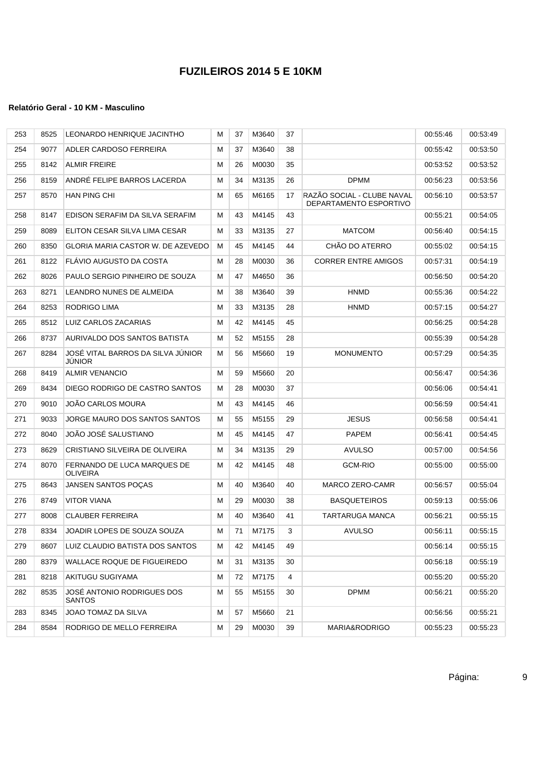| 253 | 8525 | LEONARDO HENRIQUE JACINTHO                         | м | 37 | M3640 | 37 |                                                      | 00:55:46 | 00:53:49 |
|-----|------|----------------------------------------------------|---|----|-------|----|------------------------------------------------------|----------|----------|
| 254 | 9077 | ADLER CARDOSO FERREIRA                             | м | 37 | M3640 | 38 |                                                      | 00:55:42 | 00:53:50 |
| 255 | 8142 | <b>ALMIR FREIRE</b>                                | М | 26 | M0030 | 35 |                                                      | 00:53:52 | 00:53:52 |
| 256 | 8159 | ANDRÉ FELIPE BARROS LACERDA                        | М | 34 | M3135 | 26 | <b>DPMM</b>                                          | 00:56:23 | 00:53:56 |
| 257 | 8570 | <b>HAN PING CHI</b>                                | м | 65 | M6165 | 17 | RAZÃO SOCIAL - CLUBE NAVAL<br>DEPARTAMENTO ESPORTIVO | 00:56:10 | 00:53:57 |
| 258 | 8147 | EDISON SERAFIM DA SILVA SERAFIM                    | М | 43 | M4145 | 43 |                                                      | 00:55:21 | 00:54:05 |
| 259 | 8089 | ELITON CESAR SILVA LIMA CESAR                      | м | 33 | M3135 | 27 | <b>MATCOM</b>                                        | 00:56:40 | 00:54:15 |
| 260 | 8350 | <b>GLORIA MARIA CASTOR W. DE AZEVEDO</b>           | м | 45 | M4145 | 44 | CHÃO DO ATERRO                                       | 00:55:02 | 00:54:15 |
| 261 | 8122 | FLÁVIO AUGUSTO DA COSTA                            | М | 28 | M0030 | 36 | <b>CORRER ENTRE AMIGOS</b>                           | 00:57:31 | 00:54:19 |
| 262 | 8026 | PAULO SERGIO PINHEIRO DE SOUZA                     | М | 47 | M4650 | 36 |                                                      | 00:56:50 | 00:54:20 |
| 263 | 8271 | LEANDRO NUNES DE ALMEIDA                           | M | 38 | M3640 | 39 | <b>HNMD</b>                                          | 00:55:36 | 00:54:22 |
| 264 | 8253 | <b>RODRIGO LIMA</b>                                | М | 33 | M3135 | 28 | <b>HNMD</b>                                          | 00:57:15 | 00:54:27 |
| 265 | 8512 | LUIZ CARLOS ZACARIAS                               | М | 42 | M4145 | 45 |                                                      | 00:56:25 | 00:54:28 |
| 266 | 8737 | AURIVALDO DOS SANTOS BATISTA                       | м | 52 | M5155 | 28 |                                                      | 00:55:39 | 00:54:28 |
| 267 | 8284 | JOSÉ VITAL BARROS DA SILVA JÚNIOR<br><b>JUNIOR</b> | М | 56 | M5660 | 19 | <b>MONUMENTO</b>                                     | 00:57:29 | 00:54:35 |
| 268 | 8419 | <b>ALMIR VENANCIO</b>                              | м | 59 | M5660 | 20 |                                                      | 00:56:47 | 00:54:36 |
| 269 | 8434 | DIEGO RODRIGO DE CASTRO SANTOS                     | М | 28 | M0030 | 37 |                                                      | 00:56:06 | 00:54:41 |
| 270 | 9010 | JOÃO CARLOS MOURA                                  | м | 43 | M4145 | 46 |                                                      | 00:56:59 | 00:54:41 |
| 271 | 9033 | JORGE MAURO DOS SANTOS SANTOS                      | М | 55 | M5155 | 29 | <b>JESUS</b>                                         | 00:56:58 | 00:54:41 |
| 272 | 8040 | JOÃO JOSÉ SALUSTIANO                               | м | 45 | M4145 | 47 | <b>PAPEM</b>                                         | 00:56:41 | 00:54:45 |
| 273 | 8629 | CRISTIANO SILVEIRA DE OLIVEIRA                     | M | 34 | M3135 | 29 | <b>AVULSO</b>                                        | 00:57:00 | 00:54:56 |
| 274 | 8070 | FERNANDO DE LUCA MARQUES DE<br><b>OLIVEIRA</b>     | м | 42 | M4145 | 48 | <b>GCM-RIO</b>                                       | 00:55:00 | 00:55:00 |
| 275 | 8643 | JANSEN SANTOS POÇAS                                | М | 40 | M3640 | 40 | MARCO ZERO-CAMR                                      | 00:56:57 | 00:55:04 |
| 276 | 8749 | <b>VITOR VIANA</b>                                 | М | 29 | M0030 | 38 | <b>BASQUETEIROS</b>                                  | 00:59:13 | 00:55:06 |
| 277 | 8008 | <b>CLAUBER FERREIRA</b>                            | м | 40 | M3640 | 41 | TARTARUGA MANCA                                      | 00:56:21 | 00:55:15 |
| 278 | 8334 | JOADIR LOPES DE SOUZA SOUZA                        | M | 71 | M7175 | 3  | <b>AVULSO</b>                                        | 00:56:11 | 00:55:15 |
| 279 | 8607 | LUIZ CLAUDIO BATISTA DOS SANTOS                    | м | 42 | M4145 | 49 |                                                      | 00:56:14 | 00:55:15 |
| 280 | 8379 | WALLACE ROQUE DE FIGUEIREDO                        | м | 31 | M3135 | 30 |                                                      | 00:56:18 | 00:55:19 |
| 281 | 8218 | AKITUGU SUGIYAMA                                   | м | 72 | M7175 | 4  |                                                      | 00 55:20 | 00:55:20 |
| 282 | 8535 | JOSE ANTONIO RODRIGUES DOS<br><b>SANTOS</b>        | M | 55 | M5155 | 30 | <b>DPMM</b>                                          | 00:56:21 | 00:55:20 |
| 283 | 8345 | JOAO TOMAZ DA SILVA                                | М | 57 | M5660 | 21 |                                                      | 00 56 56 | 00:55:21 |
| 284 | 8584 | RODRIGO DE MELLO FERREIRA                          | М | 29 | M0030 | 39 | MARIA&RODRIGO                                        | 00:55:23 | 00:55:23 |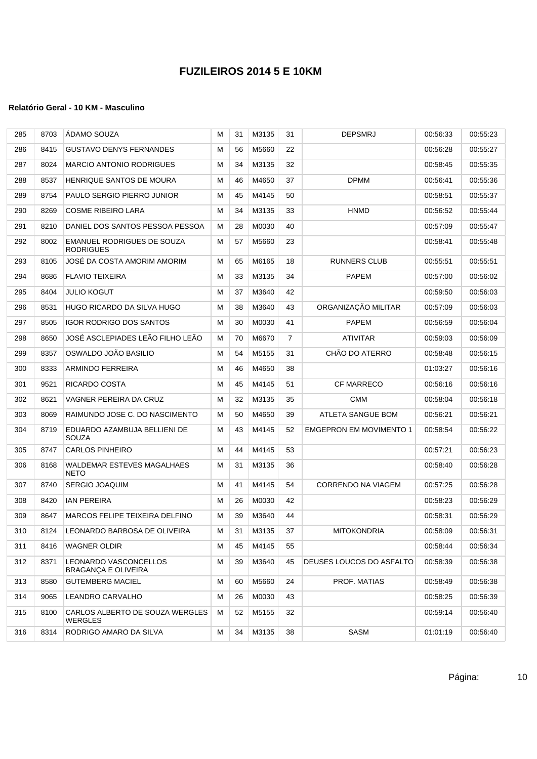| 285 | 8703 | ADAMO SOUZA                                       | M | 31 | M3135 | 31             | <b>DEPSMRJ</b>                 | 00:56:33 | 00:55:23 |
|-----|------|---------------------------------------------------|---|----|-------|----------------|--------------------------------|----------|----------|
| 286 | 8415 | <b>GUSTAVO DENYS FERNANDES</b>                    | м | 56 | M5660 | 22             |                                | 00:56:28 | 00:55:27 |
| 287 | 8024 | <b>MARCIO ANTONIO RODRIGUES</b>                   | М | 34 | M3135 | 32             |                                | 00:58:45 | 00:55:35 |
| 288 | 8537 | HENRIQUE SANTOS DE MOURA                          | М | 46 | M4650 | 37             | <b>DPMM</b>                    | 00:56:41 | 00:55:36 |
| 289 | 8754 | PAULO SERGIO PIERRO JUNIOR                        | м | 45 | M4145 | 50             |                                | 00:58:51 | 00:55:37 |
| 290 | 8269 | <b>COSME RIBEIRO LARA</b>                         | M | 34 | M3135 | 33             | <b>HNMD</b>                    | 00:56:52 | 00:55:44 |
| 291 | 8210 | DANIEL DOS SANTOS PESSOA PESSOA                   | М | 28 | M0030 | 40             |                                | 00:57:09 | 00:55:47 |
| 292 | 8002 | EMANUEL RODRIGUES DE SOUZA<br><b>RODRIGUES</b>    | м | 57 | M5660 | 23             |                                | 00:58:41 | 00:55:48 |
| 293 | 8105 | JOSÉ DA COSTA AMORIM AMORIM                       | М | 65 | M6165 | 18             | RUNNERS CLUB                   | 00:55:51 | 00:55:51 |
| 294 | 8686 | <b>FLAVIO TEIXEIRA</b>                            | М | 33 | M3135 | 34             | <b>PAPEM</b>                   | 00:57:00 | 00:56:02 |
| 295 | 8404 | <b>JULIO KOGUT</b>                                | М | 37 | M3640 | 42             |                                | 00:59:50 | 00:56:03 |
| 296 | 8531 | <b>HUGO RICARDO DA SILVA HUGO</b>                 | М | 38 | M3640 | 43             | ORGANIZAÇÃO MILITAR            | 00:57:09 | 00:56:03 |
| 297 | 8505 | <b>IGOR RODRIGO DOS SANTOS</b>                    | м | 30 | M0030 | 41             | <b>PAPEM</b>                   | 00:56:59 | 00:56:04 |
| 298 | 8650 | JOSÉ ASCLEPIADES LEÃO FILHO LEÃO                  | м | 70 | M6670 | $\overline{7}$ | <b>ATIVITAR</b>                | 00:59:03 | 00:56:09 |
| 299 | 8357 | OSWALDO JOÃO BASILIO                              | М | 54 | M5155 | 31             | CHÃO DO ATERRO                 | 00:58:48 | 00:56:15 |
| 300 | 8333 | <b>ARMINDO FERREIRA</b>                           | М | 46 | M4650 | 38             |                                | 01:03:27 | 00:56:16 |
| 301 | 9521 | RICARDO COSTA                                     | M | 45 | M4145 | 51             | <b>CF MARRECO</b>              | 00:56:16 | 00:56:16 |
| 302 | 8621 | VAGNER PEREIRA DA CRUZ                            | M | 32 | M3135 | 35             | <b>CMM</b>                     | 00 58:04 | 00:56:18 |
| 303 | 8069 | RAIMUNDO JOSE C. DO NASCIMENTO                    | М | 50 | M4650 | 39             | ATLETA SANGUE BOM              | 00:56:21 | 00:56:21 |
| 304 | 8719 | EDUARDO AZAMBUJA BELLIENI DE<br>SOUZA             | M | 43 | M4145 | 52             | <b>EMGEPRON EM MOVIMENTO 1</b> | 00 58:54 | 00:56:22 |
| 305 | 8747 | <b>CARLOS PINHEIRO</b>                            | M | 44 | M4145 | 53             |                                | 00:57:21 | 00:56:23 |
| 306 | 8168 | <b>WALDEMAR ESTEVES MAGALHAES</b><br><b>NETO</b>  | М | 31 | M3135 | 36             |                                | 00:58:40 | 00:56:28 |
| 307 | 8740 | <b>SERGIO JOAQUIM</b>                             | М | 41 | M4145 | 54             | CORRENDO NA VIAGEM             | 00:57:25 | 00:56:28 |
| 308 | 8420 | <b>IAN PEREIRA</b>                                | М | 26 | M0030 | 42             |                                | 00:58:23 | 00:56:29 |
| 309 | 8647 | MARCOS FELIPE TEIXEIRA DELFINO                    | М | 39 | M3640 | 44             |                                | 00:58:31 | 00:56:29 |
| 310 | 8124 | LEONARDO BARBOSA DE OLIVEIRA                      | M | 31 | M3135 | 37             | <b>MITOKONDRIA</b>             | 00:58:09 | 00:56:31 |
| 311 | 8416 | <b>WAGNER OLDIR</b>                               | м | 45 | M4145 | 55             |                                | 00:58:44 | 00:56:34 |
| 312 | 8371 | LEONARDO VASCONCELLOS<br>BRAGANÇA E OLIVEIRA      | M | 39 | M3640 | 45             | DEUSES LOUCOS DO ASFALTO       | 00:58:39 | 00:56:38 |
| 313 | 8580 | <b>GUTEMBERG MACIEL</b>                           | M | 60 | M5660 | 24             | PROF. MATIAS                   | 00:58:49 | 00:56:38 |
| 314 | 9065 | LEANDRO CARVALHO                                  | м | 26 | M0030 | 43             |                                | 00:58:25 | 00:56:39 |
| 315 | 8100 | CARLOS ALBERTO DE SOUZA WERGLES<br><b>WERGLES</b> | м | 52 | M5155 | 32             |                                | 00:59:14 | 00:56:40 |
| 316 | 8314 | RODRIGO AMARO DA SILVA                            | M | 34 | M3135 | 38             | SASM                           | 01:01:19 | 00:56:40 |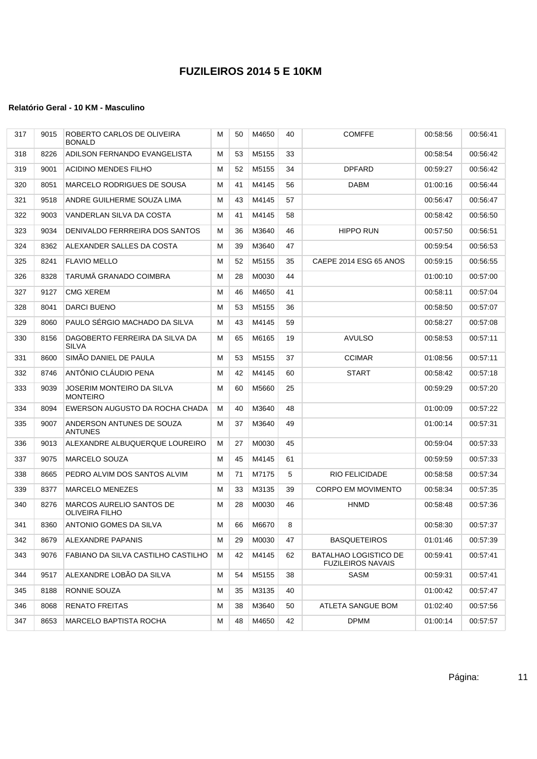| 317 | 9015 | ROBERTO CARLOS DE OLIVEIRA<br><b>BONALD</b>       | м | 50 | M4650 | 40 | <b>COMFFE</b>                                            | 00:58:56 | 00:56:41 |
|-----|------|---------------------------------------------------|---|----|-------|----|----------------------------------------------------------|----------|----------|
| 318 | 8226 | ADILSON FERNANDO EVANGELISTA                      | м | 53 | M5155 | 33 |                                                          | 00:58:54 | 00:56:42 |
| 319 | 9001 | ACIDINO MENDES FILHO                              | м | 52 | M5155 | 34 | <b>DPFARD</b>                                            | 00:59:27 | 00:56:42 |
| 320 | 8051 | MARCELO RODRIGUES DE SOUSA                        | М | 41 | M4145 | 56 | <b>DABM</b>                                              | 01:00:16 | 00:56:44 |
| 321 | 9518 | ANDRE GUILHERME SOUZA LIMA                        | м | 43 | M4145 | 57 |                                                          | 00:56:47 | 00:56:47 |
| 322 | 9003 | VANDERLAN SILVA DA COSTA                          | м | 41 | M4145 | 58 |                                                          | 00:58:42 | 00:56:50 |
| 323 | 9034 | DENIVALDO FERRREIRA DOS SANTOS                    | м | 36 | M3640 | 46 | <b>HIPPO RUN</b>                                         | 00:57:50 | 00:56:51 |
| 324 | 8362 | ALEXANDER SALLES DA COSTA                         | м | 39 | M3640 | 47 |                                                          | 00:59:54 | 00:56:53 |
| 325 | 8241 | <b>FLAVIO MELLO</b>                               | М | 52 | M5155 | 35 | CAEPE 2014 ESG 65 ANOS                                   | 00:59:15 | 00:56:55 |
| 326 | 8328 | TARUMA GRANADO COIMBRA                            | М | 28 | M0030 | 44 |                                                          | 01:00:10 | 00:57:00 |
| 327 | 9127 | <b>CMG XEREM</b>                                  | М | 46 | M4650 | 41 |                                                          | 00:58:11 | 00:57:04 |
| 328 | 8041 | DARCI BUENO                                       | М | 53 | M5155 | 36 |                                                          | 00:58:50 | 00:57:07 |
| 329 | 8060 | PAULO SÉRGIO MACHADO DA SILVA                     | м | 43 | M4145 | 59 |                                                          | 00:58:27 | 00:57:08 |
| 330 | 8156 | DAGOBERTO FERREIRA DA SILVA DA<br><b>SILVA</b>    | м | 65 | M6165 | 19 | <b>AVULSO</b>                                            | 00:58:53 | 00.57:11 |
| 331 | 8600 | SIMÃO DANIEL DE PAULA                             | М | 53 | M5155 | 37 | <b>CCIMAR</b>                                            | 01:08:56 | 00:57:11 |
| 332 | 8746 | ANTÔNIO CLÁUDIO PENA                              | М | 42 | M4145 | 60 | <b>START</b>                                             | 00:58:42 | 00:57:18 |
| 333 | 9039 | JOSERIM MONTEIRO DA SILVA<br><b>MONTEIRO</b>      | М | 60 | M5660 | 25 |                                                          | 00:59:29 | 00:57:20 |
| 334 | 8094 | EWERSON AUGUSTO DA ROCHA CHADA                    | м | 40 | M3640 | 48 |                                                          | 01:00:09 | 00:57:22 |
| 335 | 9007 | ANDERSON ANTUNES DE SOUZA<br><b>ANTUNES</b>       | м | 37 | M3640 | 49 |                                                          | 01:00:14 | 00:57:31 |
| 336 | 9013 | ALEXANDRE ALBUQUERQUE LOUREIRO                    | м | 27 | M0030 | 45 |                                                          | 00:59:04 | 00:57:33 |
| 337 | 9075 | MARCELO SOUZA                                     | м | 45 | M4145 | 61 |                                                          | 00:59:59 | 00:57:33 |
| 338 | 8665 | PEDRO ALVIM DOS SANTOS ALVIM                      | м | 71 | M7175 | 5  | <b>RIO FELICIDADE</b>                                    | 00:58:58 | 00:57:34 |
| 339 | 8377 | <b>MARCELO MENEZES</b>                            | м | 33 | M3135 | 39 | <b>CORPO EM MOVIMENTO</b>                                | 00:58:34 | 00:57:35 |
| 340 | 8276 | MARCOS AURELIO SANTOS DE<br><b>OLIVEIRA FILHO</b> | м | 28 | M0030 | 46 | <b>HNMD</b>                                              | 00:58:48 | 00:57:36 |
| 341 | 8360 | ANTONIO GOMES DA SILVA                            | м | 66 | M6670 | 8  |                                                          | 00:58:30 | 00:57:37 |
| 342 | 8679 | ALEXANDRE PAPANIS                                 | м | 29 | M0030 | 47 | <b>BASQUETEIROS</b>                                      | 01:01:46 | 00:57:39 |
| 343 | 9076 | FABIANO DA SILVA CASTILHO CASTILHO                | м | 42 | M4145 | 62 | <b>BATALHAO LOGISTICO DE</b><br><b>FUZILEIROS NAVAIS</b> | 00:59:41 | 00.57:41 |
| 344 | 9517 | ALEXANDRE LOBÃO DA SILVA                          | м | 54 | M5155 | 38 | SASM                                                     | 00:59:31 | 00:57:41 |
| 345 | 8188 | RONNIE SOUZA                                      | М | 35 | M3135 | 40 |                                                          | 01:00:42 | 00:57:47 |
| 346 | 8068 | <b>RENATO FREITAS</b>                             | M | 38 | M3640 | 50 | ATLETA SANGUE BOM                                        | 01:02:40 | 00:57:56 |
| 347 | 8653 | MARCELO BAPTISTA ROCHA                            | м | 48 | M4650 | 42 | <b>DPMM</b>                                              | 01:00:14 | 00:57:57 |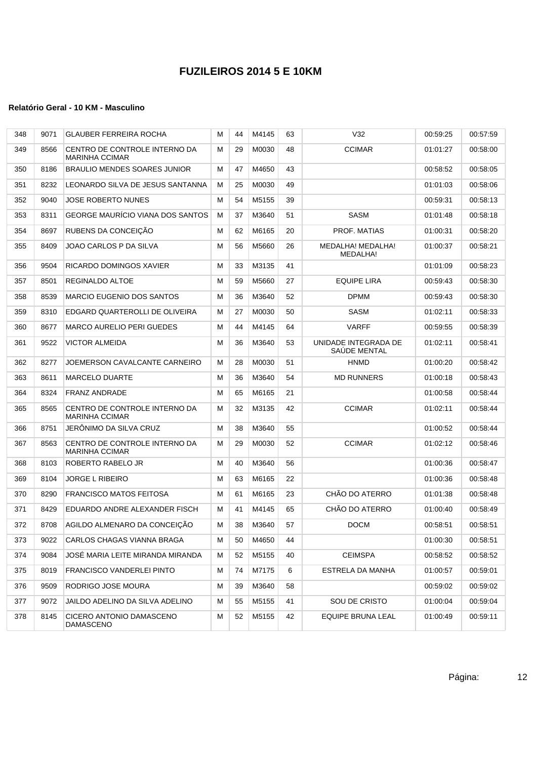| 348 | 9071 | <b>GLAUBER FERREIRA ROCHA</b>                          | м | 44 | M4145 | 63 | V32                                         | 00:59:25 | 00:57:59 |
|-----|------|--------------------------------------------------------|---|----|-------|----|---------------------------------------------|----------|----------|
| 349 | 8566 | CENTRO DE CONTROLE INTERNO DA<br><b>MARINHA CCIMAR</b> | M | 29 | M0030 | 48 | <b>CCIMAR</b>                               | 01:01:27 | 00:58:00 |
| 350 | 8186 | <b>BRAULIO MENDES SOARES JUNIOR</b>                    | м | 47 | M4650 | 43 |                                             | 00:58:52 | 00:58:05 |
| 351 | 8232 | LEONARDO SILVA DE JESUS SANTANNA                       | м | 25 | M0030 | 49 |                                             | 01:01:03 | 00:58:06 |
| 352 | 9040 | <b>JOSE ROBERTO NUNES</b>                              | М | 54 | M5155 | 39 |                                             | 00:59:31 | 00:58:13 |
| 353 | 8311 | <b>GEORGE MAURICIO VIANA DOS SANTOS</b>                | м | 37 | M3640 | 51 | SASM                                        | 01:01:48 | 00:58:18 |
| 354 | 8697 | RUBENS DA CONCEIÇÃO                                    | М | 62 | M6165 | 20 | PROF. MATIAS                                | 01:00:31 | 00:58:20 |
| 355 | 8409 | JOAO CARLOS P DA SILVA                                 | М | 56 | M5660 | 26 | MEDALHA! MEDALHA!<br>MEDALHA!               | 01:00:37 | 00:58:21 |
| 356 | 9504 | RICARDO DOMINGOS XAVIER                                | М | 33 | M3135 | 41 |                                             | 01:01:09 | 00:58:23 |
| 357 | 8501 | REGINALDO ALTOE                                        | М | 59 | M5660 | 27 | <b>EQUIPE LIRA</b>                          | 00:59:43 | 00:58:30 |
| 358 | 8539 | <b>MARCIO EUGENIO DOS SANTOS</b>                       | м | 36 | M3640 | 52 | <b>DPMM</b>                                 | 00:59:43 | 00:58:30 |
| 359 | 8310 | EDGARD QUARTEROLLI DE OLIVEIRA                         | М | 27 | M0030 | 50 | SASM                                        | 01:02:11 | 00:58:33 |
| 360 | 8677 | <b>MARCO AURELIO PERI GUEDES</b>                       | М | 44 | M4145 | 64 | <b>VARFF</b>                                | 00:59:55 | 00:58:39 |
| 361 | 9522 | <b>VICTOR ALMEIDA</b>                                  | м | 36 | M3640 | 53 | UNIDADE INTEGRADA DE<br><b>SAUDE MENTAL</b> | 01:02:11 | 00:58:41 |
| 362 | 8277 | JOEMERSON CAVALCANTE CARNEIRO                          | М | 28 | M0030 | 51 | <b>HNMD</b>                                 | 01:00:20 | 00:58:42 |
| 363 | 8611 | <b>MARCELO DUARTE</b>                                  | M | 36 | M3640 | 54 | <b>MD RUNNERS</b>                           | 01:00:18 | 00:58:43 |
| 364 | 8324 | <b>FRANZ ANDRADE</b>                                   | М | 65 | M6165 | 21 |                                             | 01:00:58 | 00:58:44 |
| 365 | 8565 | CENTRO DE CONTROLE INTERNO DA<br><b>MARINHA CCIMAR</b> | м | 32 | M3135 | 42 | <b>CCIMAR</b>                               | 01:02:11 | 00:58:44 |
| 366 | 8751 | JERÔNIMO DA SILVA CRUZ                                 | M | 38 | M3640 | 55 |                                             | 01:00:52 | 00:58:44 |
| 367 | 8563 | CENTRO DE CONTROLE INTERNO DA<br><b>MARINHA CCIMAR</b> | М | 29 | M0030 | 52 | <b>CCIMAR</b>                               | 01:02:12 | 00:58:46 |
| 368 | 8103 | ROBERTO RABELO JR                                      | M | 40 | M3640 | 56 |                                             | 01:00:36 | 00:58:47 |
| 369 | 8104 | <b>JORGE L RIBEIRO</b>                                 | М | 63 | M6165 | 22 |                                             | 01:00:36 | 00:58:48 |
| 370 | 8290 | <b>FRANCISCO MATOS FEITOSA</b>                         | М | 61 | M6165 | 23 | CHÃO DO ATERRO                              | 01:01:38 | 00:58:48 |
| 371 | 8429 | EDUARDO ANDRE ALEXANDER FISCH                          | М | 41 | M4145 | 65 | CHÃO DO ATERRO                              | 01:00:40 | 00:58:49 |
| 372 | 8708 | AGILDO ALMENARO DA CONCEIÇÃO                           | М | 38 | M3640 | 57 | <b>DOCM</b>                                 | 00:58:51 | 00:58:51 |
| 373 | 9022 | CARLOS CHAGAS VIANNA BRAGA                             | м | 50 | M4650 | 44 |                                             | 01:00:30 | 00:58:51 |
| 374 | 9084 | JOSÉ MARIA LEITE MIRANDA MIRANDA                       | М | 52 | M5155 | 40 | <b>CEIMSPA</b>                              | 00:58:52 | 00:58:52 |
| 375 | 8019 | FRANCISCO VANDERLEI PINTO                              | М | 74 | M7175 | 6  | ESTRELA DA MANHA                            | 01:00:57 | 00:59:01 |
| 376 | 9509 | RODRIGO JOSE MOURA                                     | М | 39 | M3640 | 58 |                                             | 00:59:02 | 00:59:02 |
| 377 | 9072 | JAILDO ADELINO DA SILVA ADELINO                        | M | 55 | M5155 | 41 | SOU DE CRISTO                               | 01:00:04 | 00:59:04 |
| 378 | 8145 | CICERO ANTONIO DAMASCENO<br><b>DAMASCENO</b>           | М | 52 | M5155 | 42 | EQUIPE BRUNA LEAL                           | 01:00:49 | 00:59:11 |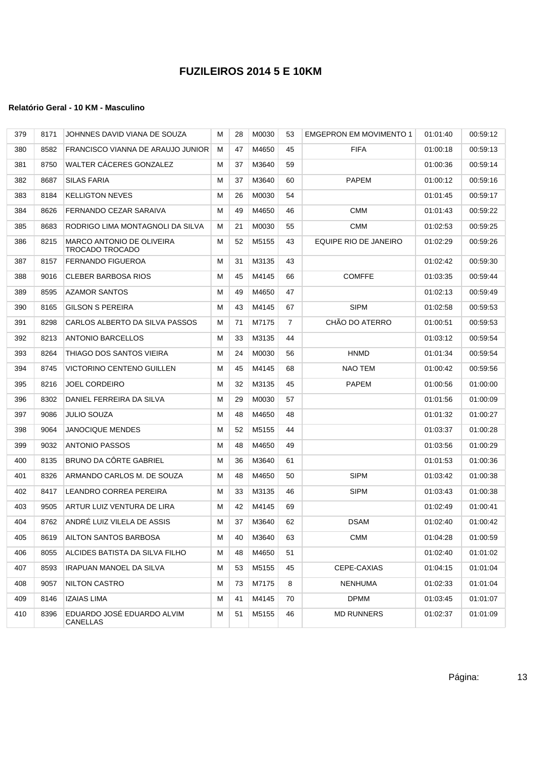| 379 | 8171 | JOHNNES DAVID VIANA DE SOUZA                        | м | 28 | M0030 | 53             | <b>EMGEPRON EM MOVIMENTO 1</b> | 01:01:40 | 00:59:12 |
|-----|------|-----------------------------------------------------|---|----|-------|----------------|--------------------------------|----------|----------|
| 380 | 8582 | FRANCISCO VIANNA DE ARAUJO JUNIOR                   | м | 47 | M4650 | 45             | <b>FIFA</b>                    | 01:00:18 | 00:59:13 |
| 381 | 8750 | WALTER CACERES GONZALEZ                             | м | 37 | M3640 | 59             |                                | 01:00:36 | 00:59:14 |
| 382 | 8687 | <b>SILAS FARIA</b>                                  | М | 37 | M3640 | 60             | <b>PAPEM</b>                   | 01:00:12 | 00:59:16 |
| 383 | 8184 | <b>KELLIGTON NEVES</b>                              | М | 26 | M0030 | 54             |                                | 01:01:45 | 00:59:17 |
| 384 | 8626 | FERNANDO CEZAR SARAIVA                              | м | 49 | M4650 | 46             | <b>CMM</b>                     | 01:01:43 | 00:59:22 |
| 385 | 8683 | RODRIGO LIMA MONTAGNOLI DA SILVA                    | м | 21 | M0030 | 55             | <b>CMM</b>                     | 01:02:53 | 00:59:25 |
| 386 | 8215 | MARCO ANTONIO DE OLIVEIRA<br><b>TROCADO TROCADO</b> | м | 52 | M5155 | 43             | EQUIPE RIO DE JANEIRO          | 01:02:29 | 00:59:26 |
| 387 | 8157 | <b>FERNANDO FIGUEROA</b>                            | М | 31 | M3135 | 43             |                                | 01:02:42 | 00:59:30 |
| 388 | 9016 | <b>CLEBER BARBOSA RIOS</b>                          | М | 45 | M4145 | 66             | <b>COMFFE</b>                  | 01:03:35 | 00:59:44 |
| 389 | 8595 | <b>AZAMOR SANTOS</b>                                | м | 49 | M4650 | 47             |                                | 01:02:13 | 00:59:49 |
| 390 | 8165 | <b>GILSON S PEREIRA</b>                             | м | 43 | M4145 | 67             | <b>SIPM</b>                    | 01:02:58 | 00:59:53 |
| 391 | 8298 | CARLOS ALBERTO DA SILVA PASSOS                      | м | 71 | M7175 | $\overline{7}$ | CHÃO DO ATERRO                 | 01:00:51 | 00:59:53 |
| 392 | 8213 | ANTONIO BARCELLOS                                   | м | 33 | M3135 | 44             |                                | 01:03:12 | 00:59:54 |
| 393 | 8264 | THIAGO DOS SANTOS VIEIRA                            | М | 24 | M0030 | 56             | <b>HNMD</b>                    | 01:01:34 | 00:59:54 |
| 394 | 8745 | VICTORINO CENTENO GUILLEN                           | м | 45 | M4145 | 68             | NAO TEM                        | 01:00:42 | 00:59:56 |
| 395 | 8216 | <b>JOEL CORDEIRO</b>                                | м | 32 | M3135 | 45             | <b>PAPEM</b>                   | 01:00:56 | 01:00:00 |
| 396 | 8302 | DANIEL FERREIRA DA SILVA                            | м | 29 | M0030 | 57             |                                | 01:01:56 | 01:00:09 |
| 397 | 9086 | <b>JULIO SOUZA</b>                                  | м | 48 | M4650 | 48             |                                | 01:01:32 | 01:00:27 |
| 398 | 9064 | <b>JANOCIQUE MENDES</b>                             | М | 52 | M5155 | 44             |                                | 01:03:37 | 01:00:28 |
| 399 | 9032 | <b>ANTONIO PASSOS</b>                               | м | 48 | M4650 | 49             |                                | 01:03:56 | 01:00:29 |
| 400 | 8135 | <b>BRUNO DA CÔRTE GABRIEL</b>                       | м | 36 | M3640 | 61             |                                | 01:01:53 | 01:00:36 |
| 401 | 8326 | ARMANDO CARLOS M. DE SOUZA                          | м | 48 | M4650 | 50             | <b>SIPM</b>                    | 01:03:42 | 01:00:38 |
| 402 | 8417 | LEANDRO CORREA PEREIRA                              | м | 33 | M3135 | 46             | <b>SIPM</b>                    | 01:03:43 | 01:00:38 |
| 403 | 9505 | ARTUR LUIZ VENTURA DE LIRA                          | м | 42 | M4145 | 69             |                                | 01:02:49 | 01:00:41 |
| 404 | 8762 | ANDRÉ LUIZ VILELA DE ASSIS                          | м | 37 | M3640 | 62             | DSAM                           | 01:02:40 | 01:00:42 |
| 405 | 8619 | AILTON SANTOS BARBOSA                               | м | 40 | M3640 | 63             | <b>CMM</b>                     | 01:04:28 | 01:00:59 |
| 406 | 8055 | ALCIDES BATISTA DA SILVA FILHO                      | м | 48 | M4650 | 51             |                                | 01:02:40 | 01:01:02 |
| 407 | 8593 | IRAPUAN MANOEL DA SILVA                             | м | 53 | M5155 | 45             | CEPE-CAXIAS                    | 01:04:15 | 01:01:04 |
| 408 | 9057 | <b>NILTON CASTRO</b>                                | м | 73 | M7175 | 8              | <b>NENHUMA</b>                 | 01:02:33 | 01:01:04 |
| 409 | 8146 | <b>IZAIAS LIMA</b>                                  | м | 41 | M4145 | 70             | DPMM                           | 01:03:45 | 01:01:07 |
| 410 | 8396 | EDUARDO JOSÉ EDUARDO ALVIM<br><b>CANELLAS</b>       | м | 51 | M5155 | 46             | <b>MD RUNNERS</b>              | 01:02:37 | 01:01:09 |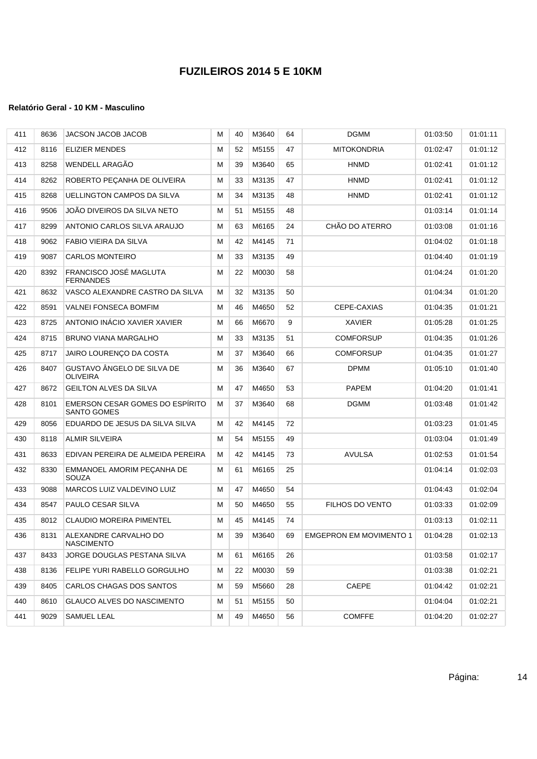| 411 | 8636 | <b>JACSON JACOB JACOB</b>                             | м | 40 | M3640 | 64 | <b>DGMM</b>                    | 01:03:50 | 01:01:11 |
|-----|------|-------------------------------------------------------|---|----|-------|----|--------------------------------|----------|----------|
| 412 | 8116 | <b>ELIZIER MENDES</b>                                 | М | 52 | M5155 | 47 | <b>MITOKONDRIA</b>             | 01:02:47 | 01:01:12 |
| 413 | 8258 | <b>WENDELL ARAGÃO</b>                                 | М | 39 | M3640 | 65 | <b>HNMD</b>                    | 01:02:41 | 01:01:12 |
| 414 | 8262 | ROBERTO PECANHA DE OLIVEIRA                           | М | 33 | M3135 | 47 | <b>HNMD</b>                    | 01:02:41 | 01:01:12 |
| 415 | 8268 | <b>UELLINGTON CAMPOS DA SILVA</b>                     | М | 34 | M3135 | 48 | <b>HNMD</b>                    | 01:02:41 | 01:01:12 |
| 416 | 9506 | JOÃO DIVEIROS DA SILVA NETO                           | М | 51 | M5155 | 48 |                                | 01:03:14 | 01:01:14 |
| 417 | 8299 | ANTONIO CARLOS SILVA ARAUJO                           | М | 63 | M6165 | 24 | CHÃO DO ATERRO                 | 01:03:08 | 01:01:16 |
| 418 | 9062 | FABIO VIEIRA DA SILVA                                 | М | 42 | M4145 | 71 |                                | 01:04:02 | 01:01:18 |
| 419 | 9087 | <b>CARLOS MONTEIRO</b>                                | М | 33 | M3135 | 49 |                                | 01:04:40 | 01:01:19 |
| 420 | 8392 | FRANCISCO JOSÉ MAGLUTA<br><b>FERNANDES</b>            | М | 22 | M0030 | 58 |                                | 01:04:24 | 01:01:20 |
| 421 | 8632 | VASCO ALEXANDRE CASTRO DA SILVA                       | М | 32 | M3135 | 50 |                                | 01:04:34 | 01:01:20 |
| 422 | 8591 | <b>VALNEI FONSECA BOMFIM</b>                          | м | 46 | M4650 | 52 | CEPE-CAXIAS                    | 01:04:35 | 01:01:21 |
| 423 | 8725 | ANTONIO INÁCIO XAVIER XAVIER                          | M | 66 | M6670 | 9  | <b>XAVIER</b>                  | 01:05:28 | 01:01:25 |
| 424 | 8715 | <b>BRUNO VIANA MARGALHO</b>                           | М | 33 | M3135 | 51 | <b>COMFORSUP</b>               | 01:04:35 | 01:01:26 |
| 425 | 8717 | JAIRO LOURENÇO DA COSTA                               | М | 37 | M3640 | 66 | <b>COMFORSUP</b>               | 01:04:35 | 01:01:27 |
| 426 | 8407 | GUSTAVO ÂNGELO DE SILVA DE<br><b>OLIVEIRA</b>         | М | 36 | M3640 | 67 | <b>DPMM</b>                    | 01:05:10 | 01:01:40 |
| 427 | 8672 | <b>GEILTON ALVES DA SILVA</b>                         | м | 47 | M4650 | 53 | <b>PAPEM</b>                   | 01:04:20 | 01:01:41 |
| 428 | 8101 | EMERSON CESAR GOMES DO ESPÍRITO<br><b>SANTO GOMES</b> | М | 37 | M3640 | 68 | <b>DGMM</b>                    | 01:03:48 | 01:01:42 |
| 429 | 8056 | EDUARDO DE JESUS DA SILVA SILVA                       | М | 42 | M4145 | 72 |                                | 01:03:23 | 01:01:45 |
| 430 | 8118 | <b>ALMIR SILVEIRA</b>                                 | M | 54 | M5155 | 49 |                                | 01:03:04 | 01:01:49 |
| 431 | 8633 | EDIVAN PEREIRA DE ALMEIDA PEREIRA                     | М | 42 | M4145 | 73 | <b>AVULSA</b>                  | 01:02:53 | 01:01:54 |
| 432 | 8330 | EMMANOEL AMORIM PECANHA DE<br>SOUZA                   | М | 61 | M6165 | 25 |                                | 01:04:14 | 01:02:03 |
| 433 | 9088 | MARCOS LUIZ VALDEVINO LUIZ                            | М | 47 | M4650 | 54 |                                | 01:04:43 | 01:02:04 |
| 434 | 8547 | <b>PAULO CESAR SILVA</b>                              | М | 50 | M4650 | 55 | FILHOS DO VENTO                | 01:03:33 | 01:02:09 |
| 435 | 8012 | <b>CLAUDIO MOREIRA PIMENTEL</b>                       | М | 45 | M4145 | 74 |                                | 01:03:13 | 01:02:11 |
| 436 | 8131 | ALEXANDRE CARVALHO DO<br><b>NASCIMENTO</b>            | M | 39 | M3640 | 69 | <b>EMGEPRON EM MOVIMENTO 1</b> | 01:04:28 | 01:02:13 |
| 437 | 8433 | JORGE DOUGLAS PESTANA SILVA                           | м | 61 | M6165 | 26 |                                | 01:03:58 | 01:02:17 |
| 438 | 8136 | FELIPE YURI RABELLO GORGULHO                          | М | 22 | M0030 | 59 |                                | 01:03:38 | 01:02:21 |
| 439 | 8405 | CARLOS CHAGAS DOS SANTOS                              | М | 59 | M5660 | 28 | CAEPE                          | 01:04:42 | 01:02:21 |
| 440 | 8610 | GLAUCO ALVES DO NASCIMENTO                            | M | 51 | M5155 | 50 |                                | 01:04:04 | 01:02:21 |
| 441 | 9029 | SAMUEL LEAL                                           | М | 49 | M4650 | 56 | <b>COMFFE</b>                  | 01:04:20 | 01:02:27 |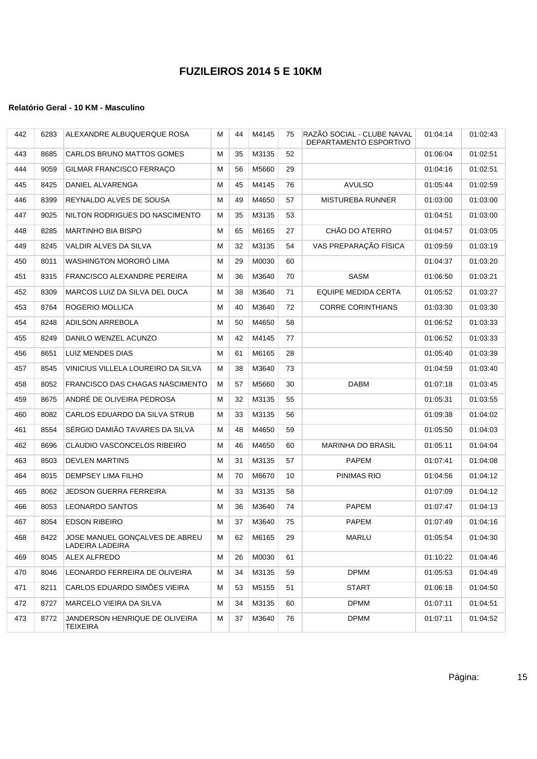| 442 | 6283 | ALEXANDRE ALBUQUERQUE ROSA                        | м | 44 | M4145 | 75 | RAZÃO SOCIAL - CLUBE NAVAL<br>DEPARTAMENTO ESPORTIVO | 01:04:14 | 01:02:43 |
|-----|------|---------------------------------------------------|---|----|-------|----|------------------------------------------------------|----------|----------|
| 443 | 8685 | CARLOS BRUNO MATTOS GOMES                         | М | 35 | M3135 | 52 |                                                      | 01:06:04 | 01:02:51 |
| 444 | 9059 | GILMAR FRANCISCO FERRAÇO                          | М | 56 | M5660 | 29 |                                                      | 01:04:16 | 01:02:51 |
| 445 | 8425 | DANIEL ALVARENGA                                  | M | 45 | M4145 | 76 | <b>AVULSO</b>                                        | 01:05:44 | 01:02:59 |
| 446 | 8399 | REYNALDO ALVES DE SOUSA                           | М | 49 | M4650 | 57 | MISTUREBA RUNNER                                     | 01:03:00 | 01:03:00 |
| 447 | 9025 | NILTON RODRIGUES DO NASCIMENTO                    | М | 35 | M3135 | 53 |                                                      | 01:04:51 | 01:03:00 |
| 448 | 8285 | <b>MARTINHO BIA BISPO</b>                         | м | 65 | M6165 | 27 | CHÃO DO ATERRO                                       | 01:04:57 | 01:03:05 |
| 449 | 8245 | VALDIR ALVES DA SILVA                             | М | 32 | M3135 | 54 | VAS PREPARAÇÃO FÍSICA                                | 01:09:59 | 01:03:19 |
| 450 | 8011 | WASHINGTON MORORO LIMA                            | М | 29 | M0030 | 60 |                                                      | 01:04:37 | 01:03:20 |
| 451 | 8315 | FRANCISCO ALEXANDRE PEREIRA                       | M | 36 | M3640 | 70 | SASM                                                 | 01:06:50 | 01:03:21 |
| 452 | 8309 | MARCOS LUIZ DA SILVA DEL DUCA                     | M | 38 | M3640 | 71 | <b>EQUIPE MEDIDA CERTA</b>                           | 01:05:52 | 01:03:27 |
| 453 | 8764 | ROGERIO MOLLICA                                   | М | 40 | M3640 | 72 | <b>CORRE CORINTHIANS</b>                             | 01:03:30 | 01:03:30 |
| 454 | 8248 | ADILSON ARREBOLA                                  | м | 50 | M4650 | 58 |                                                      | 01:06:52 | 01:03:33 |
| 455 | 8249 | DANILO WENZEL ACUNZO                              | М | 42 | M4145 | 77 |                                                      | 01:06:52 | 01:03:33 |
| 456 | 8651 | LUIZ MENDES DIAS                                  | м | 61 | M6165 | 28 |                                                      | 01:05:40 | 01:03:39 |
| 457 | 8545 | VINICIUS VILLELA LOUREIRO DA SILVA                | М | 38 | M3640 | 73 |                                                      | 01:04:59 | 01:03:40 |
| 458 | 8052 | FRANCISCO DAS CHAGAS NASCIMENTO                   | м | 57 | M5660 | 30 | <b>DABM</b>                                          | 01:07:18 | 01:03:45 |
| 459 | 8675 | ANDRÉ DE OLIVEIRA PEDROSA                         | м | 32 | M3135 | 55 |                                                      | 01:05:31 | 01:03:55 |
| 460 | 8082 | CARLOS EDUARDO DA SILVA STRUB                     | м | 33 | M3135 | 56 |                                                      | 01:09:38 | 01:04:02 |
| 461 | 8554 | SÉRGIO DAMIÃO TAVARES DA SILVA                    | M | 48 | M4650 | 59 |                                                      | 01:05:50 | 01:04:03 |
| 462 | 8696 | CLAUDIO VASCONCELOS RIBEIRO                       | М | 46 | M4650 | 60 | <b>MARINHA DO BRASIL</b>                             | 01:05:11 | 01:04:04 |
| 463 | 8503 | <b>DEVLEN MARTINS</b>                             | М | 31 | M3135 | 57 | PAPEM                                                | 01:07:41 | 01:04:08 |
| 464 | 8015 | DEMPSEY LIMA FILHO                                | М | 70 | M6670 | 10 | PINIMAS RIO                                          | 01:04:56 | 01:04:12 |
| 465 | 8062 | <b>JEDSON GUERRA FERREIRA</b>                     | М | 33 | M3135 | 58 |                                                      | 01:07:09 | 01:04:12 |
| 466 | 8053 | <b>LEONARDO SANTOS</b>                            | М | 36 | M3640 | 74 | PAPEM                                                | 01:07:47 | 01:04:13 |
| 467 | 8054 | <b>EDSON RIBEIRO</b>                              | М | 37 | M3640 | 75 | <b>PAPEM</b>                                         | 01:07:49 | 01:04:16 |
| 468 | 8422 | JOSE MANUEL GONÇALVES DE ABREU<br>LADEIRA LADEIRA | м | 62 | M6165 | 29 | MARLU                                                | 01:05:54 | 01:04:30 |
| 469 | 8045 | ALEX ALFREDO                                      | M | 26 | M0030 | 61 |                                                      | 01:10:22 | 01:04:46 |
| 470 | 8046 | LEONARDO FERREIRA DE OLIVEIRA                     | М | 34 | M3135 | 59 | <b>DPMM</b>                                          | 01:05:53 | 01:04:49 |
| 471 | 8211 | CARLOS EDUARDO SIMÕES VIEIRA                      | м | 53 | M5155 | 51 | <b>START</b>                                         | 01:06:18 | 01:04:50 |
| 472 | 8727 | MARCELO VIEIRA DA SILVA                           | М | 34 | M3135 | 60 | <b>DPMM</b>                                          | 01:07:11 | 01:04:51 |
| 473 | 8772 | JANDERSON HENRIQUE DE OLIVEIRA<br><b>TEIXEIRA</b> | М | 37 | M3640 | 76 | <b>DPMM</b>                                          | 01:07:11 | 01:04:52 |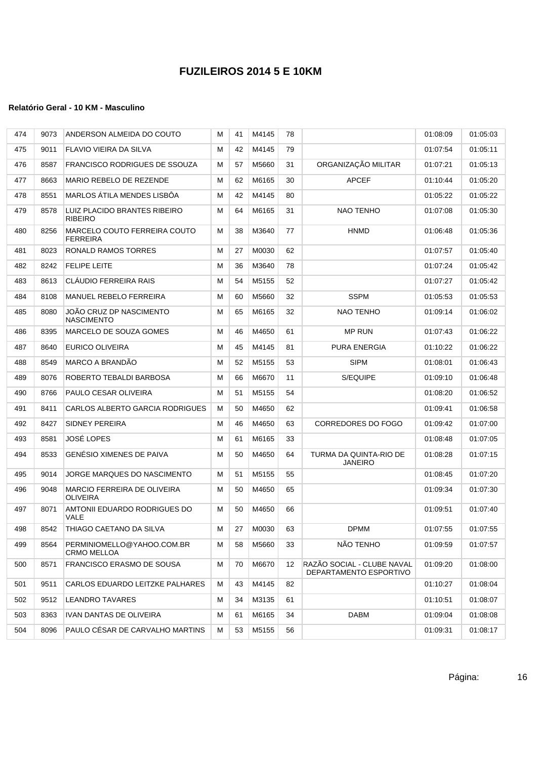| 474 | 9073 | ANDERSON ALMEIDA DO COUTO                             | м | 41 | M4145 | 78 |                                                      | 01:08:09 | 01:05:03 |
|-----|------|-------------------------------------------------------|---|----|-------|----|------------------------------------------------------|----------|----------|
| 475 | 9011 | FLAVIO VIEIRA DA SILVA                                | м | 42 | M4145 | 79 |                                                      | 01:07:54 | 01:05:11 |
| 476 | 8587 | FRANCISCO RODRIGUES DE SSOUZA                         | м | 57 | M5660 | 31 | ORGANIZAÇÃO MILITAR                                  | 01:07:21 | 01:05:13 |
| 477 | 8663 | MARIO REBELO DE REZENDE                               | м | 62 | M6165 | 30 | <b>APCEF</b>                                         | 01:10:44 | 01:05:20 |
| 478 | 8551 | MARLOS ATILA MENDES LISBÖA                            | М | 42 | M4145 | 80 |                                                      | 01:05:22 | 01:05:22 |
| 479 | 8578 | LUIZ PLACIDO BRANTES RIBEIRO<br><b>RIBEIRO</b>        | М | 64 | M6165 | 31 | NAO TENHO                                            | 01:07:08 | 01:05:30 |
| 480 | 8256 | MARCELO COUTO FERREIRA COUTO<br><b>FERREIRA</b>       | М | 38 | M3640 | 77 | <b>HNMD</b>                                          | 01:06:48 | 01:05:36 |
| 481 | 8023 | RONALD RAMOS TORRES                                   | м | 27 | M0030 | 62 |                                                      | 01:07:57 | 01:05:40 |
| 482 | 8242 | <b>FELIPE LEITE</b>                                   | М | 36 | M3640 | 78 |                                                      | 01:07:24 | 01:05:42 |
| 483 | 8613 | CLÁUDIO FERREIRA RAIS                                 | М | 54 | M5155 | 52 |                                                      | 01:07:27 | 01:05:42 |
| 484 | 8108 | MANUEL REBELO FERREIRA                                | М | 60 | M5660 | 32 | <b>SSPM</b>                                          | 01:05:53 | 01:05:53 |
| 485 | 8080 | JOÃO CRUZ DP NASCIMENTO<br><b>NASCIMENTO</b>          | М | 65 | M6165 | 32 | NAO TENHO                                            | 01:09:14 | 01:06:02 |
| 486 | 8395 | MARCELO DE SOUZA GOMES                                | м | 46 | M4650 | 61 | <b>MP RUN</b>                                        | 01:07:43 | 01:06:22 |
| 487 | 8640 | EURICO OLIVEIRA                                       | М | 45 | M4145 | 81 | PURA ENERGIA                                         | 01:10:22 | 01:06:22 |
| 488 | 8549 | MARCO A BRANDÃO                                       | М | 52 | M5155 | 53 | <b>SIPM</b>                                          | 01:08:01 | 01:06:43 |
| 489 | 8076 | ROBERTO TEBALDI BARBOSA                               | М | 66 | M6670 | 11 | S/EQUIPE                                             | 01:09:10 | 01:06:48 |
| 490 | 8766 | PAULO CESAR OLIVEIRA                                  | М | 51 | M5155 | 54 |                                                      | 01:08:20 | 01:06:52 |
| 491 | 8411 | CARLOS ALBERTO GARCIA RODRIGUES                       | м | 50 | M4650 | 62 |                                                      | 01:09:41 | 01:06:58 |
| 492 | 8427 | SIDNEY PEREIRA                                        | М | 46 | M4650 | 63 | <b>CORREDORES DO FOGO</b>                            | 01:09:42 | 01:07:00 |
| 493 | 8581 | <b>JOSÉ LOPES</b>                                     | М | 61 | M6165 | 33 |                                                      | 01:08:48 | 01:07:05 |
| 494 | 8533 | <b>GENÉSIO XIMENES DE PAIVA</b>                       | М | 50 | M4650 | 64 | TURMA DA QUINTA-RIO DE<br><b>JANEIRO</b>             | 01:08:28 | 01:07:15 |
| 495 | 9014 | JORGE MARQUES DO NASCIMENTO                           | М | 51 | M5155 | 55 |                                                      | 01:08:45 | 01:07:20 |
| 496 | 9048 | <b>MARCIO FERREIRA DE OLIVEIRA</b><br><b>OLIVEIRA</b> | М | 50 | M4650 | 65 |                                                      | 01:09:34 | 01:07:30 |
| 497 | 8071 | AMTONII EDUARDO RODRIGUES DO<br><b>VALE</b>           | М | 50 | M4650 | 66 |                                                      | 01:09:51 | 01:07:40 |
| 498 | 8542 | THIAGO CAETANO DA SILVA                               | м | 27 | M0030 | 63 | <b>DPMM</b>                                          | 01:07:55 | 01:07:55 |
| 499 | 8564 | PERMINIOMELLO@YAHOO.COM.BR<br><b>CRMO MELLOA</b>      | м | 58 | M5660 | 33 | NÃO TENHO                                            | 01:09:59 | 01:07:57 |
| 500 | 8571 | <b>FRANCISCO ERASMO DE SOUSA</b>                      | М | 70 | M6670 | 12 | RAZÃO SOCIAL - CLUBE NAVAL<br>DEPARTAMENTO ESPORTIVO | 01:09:20 | 01:08:00 |
| 501 | 9511 | CARLOS EDUARDO LEITZKE PALHARES                       | M | 43 | M4145 | 82 |                                                      | 01:10:27 | 01:08:04 |
| 502 | 9512 | <b>LEANDRO TAVARES</b>                                | M | 34 | M3135 | 61 |                                                      | 01:10:51 | 01:08:07 |
| 503 | 8363 | IVAN DANTAS DE OLIVEIRA                               | М | 61 | M6165 | 34 | <b>DABM</b>                                          | 01:09:04 | 01:08:08 |
| 504 | 8096 | PAULO CÉSAR DE CARVALHO MARTINS                       | м | 53 | M5155 | 56 |                                                      | 01:09:31 | 01:08:17 |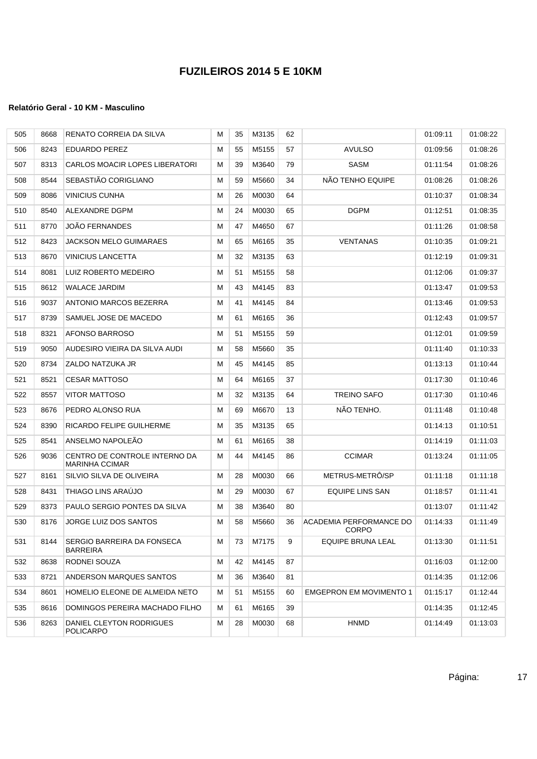| 505 | 8668 | RENATO CORREIA DA SILVA                                | M | 35 | M3135 | 62 |                                  | 01:09:11 | 01:08:22 |
|-----|------|--------------------------------------------------------|---|----|-------|----|----------------------------------|----------|----------|
| 506 | 8243 | EDUARDO PEREZ                                          | м | 55 | M5155 | 57 | <b>AVULSO</b>                    | 01:09:56 | 01:08:26 |
| 507 | 8313 | CARLOS MOACIR LOPES LIBERATORI                         | М | 39 | M3640 | 79 | <b>SASM</b>                      | 01:11:54 | 01:08:26 |
| 508 | 8544 | SEBASTIÃO CORIGLIANO                                   | М | 59 | M5660 | 34 | NÃO TENHO EQUIPE                 | 01:08:26 | 01:08:26 |
| 509 | 8086 | <b>VINICIUS CUNHA</b>                                  | М | 26 | M0030 | 64 |                                  | 01:10:37 | 01:08:34 |
| 510 | 8540 | ALEXANDRE DGPM                                         | М | 24 | M0030 | 65 | <b>DGPM</b>                      | 01:12:51 | 01:08:35 |
| 511 | 8770 | JOÃO FERNANDES                                         | М | 47 | M4650 | 67 |                                  | 01:11:26 | 01:08:58 |
| 512 | 8423 | <b>JACKSON MELO GUIMARAES</b>                          | м | 65 | M6165 | 35 | <b>VENTANAS</b>                  | 01:10:35 | 01:09:21 |
| 513 | 8670 | <b>VINICIUS LANCETTA</b>                               | М | 32 | M3135 | 63 |                                  | 01:12:19 | 01:09:31 |
| 514 | 8081 | LUIZ ROBERTO MEDEIRO                                   | М | 51 | M5155 | 58 |                                  | 01:12:06 | 01:09:37 |
| 515 | 8612 | <b>WALACE JARDIM</b>                                   | М | 43 | M4145 | 83 |                                  | 01:13:47 | 01:09:53 |
| 516 | 9037 | ANTONIO MARCOS BEZERRA                                 | М | 41 | M4145 | 84 |                                  | 01:13:46 | 01:09:53 |
| 517 | 8739 | SAMUEL JOSE DE MACEDO                                  | М | 61 | M6165 | 36 |                                  | 01:12:43 | 01:09:57 |
| 518 | 8321 | AFONSO BARROSO                                         | м | 51 | M5155 | 59 |                                  | 01:12:01 | 01:09:59 |
| 519 | 9050 | AUDESIRO VIEIRA DA SILVA AUDI                          | м | 58 | M5660 | 35 |                                  | 01:11:40 | 01:10:33 |
| 520 | 8734 | ZALDO NATZUKA JR                                       | М | 45 | M4145 | 85 |                                  | 01:13:13 | 01:10:44 |
| 521 | 8521 | <b>CESAR MATTOSO</b>                                   | М | 64 | M6165 | 37 |                                  | 01:17:30 | 01:10:46 |
| 522 | 8557 | <b>VITOR MATTOSO</b>                                   | М | 32 | M3135 | 64 | <b>TREINO SAFO</b>               | 01:17:30 | 01:10:46 |
| 523 | 8676 | PEDRO ALONSO RUA                                       | M | 69 | M6670 | 13 | NÃO TENHO.                       | 01:11:48 | 01:10:48 |
| 524 | 8390 | RICARDO FELIPE GUILHERME                               | м | 35 | M3135 | 65 |                                  | 01:14:13 | 01:10:51 |
| 525 | 8541 | ANSELMO NAPOLEÃO                                       | м | 61 | M6165 | 38 |                                  | 01:14:19 | 01:11:03 |
| 526 | 9036 | CENTRO DE CONTROLE INTERNO DA<br><b>MARINHA CCIMAR</b> | М | 44 | M4145 | 86 | <b>CCIMAR</b>                    | 01:13:24 | 01:11:05 |
| 527 | 8161 | SILVIO SILVA DE OLIVEIRA                               | M | 28 | M0030 | 66 | METRUS-METRÔ/SP                  | 01:11:18 | 01:11:18 |
| 528 | 8431 | THIAGO LINS ARAUJO                                     | M | 29 | M0030 | 67 | EQUIPE LINS SAN                  | 01:18:57 | 01:11:41 |
| 529 | 8373 | PAULO SERGIO PONTES DA SILVA                           | м | 38 | M3640 | 80 |                                  | 01:13:07 | 01:11:42 |
| 530 | 8176 | JORGE LUIZ DOS SANTOS                                  | м | 58 | M5660 | 36 | ACADEMIA PERFORMANCE DO<br>CORPO | 01:14:33 | 01:11:49 |
| 531 | 8144 | SERGIO BARREIRA DA FONSECA<br><b>BARREIRA</b>          | м | 73 | M7175 | 9  | EQUIPE BRUNA LEAL                | 01:13:30 | 01:11:51 |
| 532 | 8638 | RODNEI SOUZA                                           | м | 42 | M4145 | 87 |                                  | 01:16:03 | 01:12:00 |
| 533 | 8721 | ANDERSON MARQUES SANTOS                                | м | 36 | M3640 | 81 |                                  | 01:14:35 | 01:12:06 |
| 534 | 8601 | HOMELIO ELEONE DE ALMEIDA NETO                         | M | 51 | M5155 | 60 | <b>EMGEPRON EM MOVIMENTO 1</b>   | 01:15:17 | 01:12:44 |
| 535 | 8616 | DOMINGOS PEREIRA MACHADO FILHO                         | м | 61 | M6165 | 39 |                                  | 01:14:35 | 01:12:45 |
| 536 | 8263 | DANIEL CLEYTON RODRIGUES<br><b>POLICARPO</b>           | М | 28 | M0030 | 68 | <b>HNMD</b>                      | 01:14:49 | 01:13:03 |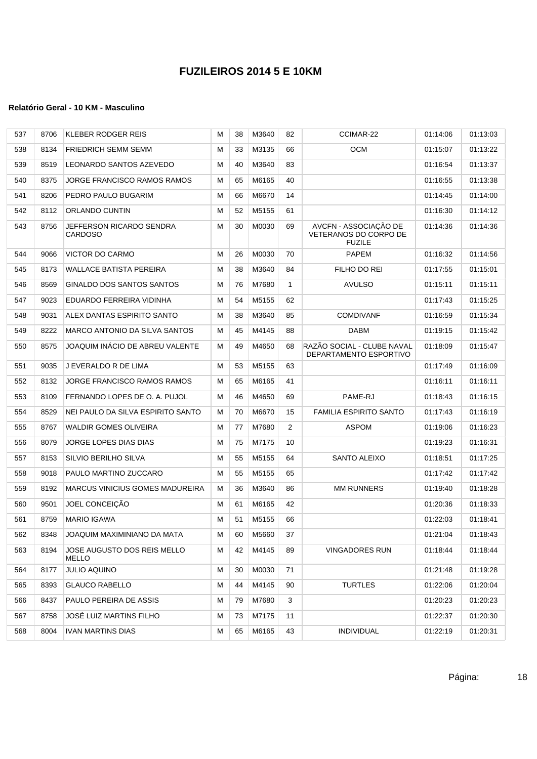| 537 | 8706 | KLEBER RODGER REIS                          | м | 38 | M3640 | 82           | CCIMAR-22                                                       | 01:14:06 | 01:13:03 |
|-----|------|---------------------------------------------|---|----|-------|--------------|-----------------------------------------------------------------|----------|----------|
| 538 | 8134 | <b>FRIEDRICH SEMM SEMM</b>                  | М | 33 | M3135 | 66           | <b>OCM</b>                                                      | 01:15:07 | 01:13:22 |
| 539 | 8519 | LEONARDO SANTOS AZEVEDO                     | м | 40 | M3640 | 83           |                                                                 | 01:16:54 | 01:13:37 |
| 540 | 8375 | JORGE FRANCISCO RAMOS RAMOS                 | М | 65 | M6165 | 40           |                                                                 | 01:16:55 | 01:13:38 |
| 541 | 8206 | PEDRO PAULO BUGARIM                         | М | 66 | M6670 | 14           |                                                                 | 01:14:45 | 01:14:00 |
| 542 | 8112 | ORLANDO CUNTIN                              | М | 52 | M5155 | 61           |                                                                 | 01:16:30 | 01:14:12 |
| 543 | 8756 | JEFFERSON RICARDO SENDRA<br><b>CARDOSO</b>  | М | 30 | M0030 | 69           | AVCFN - ASSOCIAÇÃO DE<br>VETERANOS DO CORPO DE<br><b>FUZILE</b> | 01:14:36 | 01:14:36 |
| 544 | 9066 | <b>VICTOR DO CARMO</b>                      | М | 26 | M0030 | 70           | PAPEM                                                           | 01:16:32 | 01:14:56 |
| 545 | 8173 | <b>WALLACE BATISTA PEREIRA</b>              | М | 38 | M3640 | 84           | FILHO DO REI                                                    | 01:17:55 | 01:15:01 |
| 546 | 8569 | GINALDO DOS SANTOS SANTOS                   | М | 76 | M7680 | $\mathbf{1}$ | <b>AVULSO</b>                                                   | 01:15:11 | 01:15:11 |
| 547 | 9023 | EDUARDO FERREIRA VIDINHA                    | M | 54 | M5155 | 62           |                                                                 | 01:17:43 | 01:15:25 |
| 548 | 9031 | ALEX DANTAS ESPIRITO SANTO                  | М | 38 | M3640 | 85           | <b>COMDIVANF</b>                                                | 01:16:59 | 01:15:34 |
| 549 | 8222 | <b>MARCO ANTONIO DA SILVA SANTOS</b>        | м | 45 | M4145 | 88           | DABM                                                            | 01:19:15 | 01:15:42 |
| 550 | 8575 | JOAQUIM INÁCIO DE ABREU VALENTE             | М | 49 | M4650 | 68           | RAZÃO SOCIAL - CLUBE NAVAL<br>DEPARTAMENTO ESPORTIVO            | 01:18:09 | 01:15:47 |
| 551 | 9035 | J EVERALDO R DE LIMA                        | М | 53 | M5155 | 63           |                                                                 | 01:17:49 | 01:16:09 |
| 552 | 8132 | <b>JORGE FRANCISCO RAMOS RAMOS</b>          | М | 65 | M6165 | 41           |                                                                 | 01:16:11 | 01:16:11 |
| 553 | 8109 | FERNANDO LOPES DE O. A. PUJOL               | М | 46 | M4650 | 69           | PAME-RJ                                                         | 01:18:43 | 01:16:15 |
| 554 | 8529 | NEI PAULO DA SILVA ESPIRITO SANTO           | М | 70 | M6670 | 15           | <b>FAMILIA ESPIRITO SANTO</b>                                   | 01:17:43 | 01:16:19 |
| 555 | 8767 | WALDIR GOMES OLIVEIRA                       | М | 77 | M7680 | 2            | <b>ASPOM</b>                                                    | 01:19:06 | 01:16:23 |
| 556 | 8079 | JORGE LOPES DIAS DIAS                       | М | 75 | M7175 | 10           |                                                                 | 01:19:23 | 01:16:31 |
| 557 | 8153 | SILVIO BERILHO SILVA                        | М | 55 | M5155 | 64           | SANTO ALEIXO                                                    | 01:18:51 | 01:17:25 |
| 558 | 9018 | PAULO MARTINO ZUCCARO                       | M | 55 | M5155 | 65           |                                                                 | 01:17:42 | 01:17:42 |
| 559 | 8192 | <b>MARCUS VINICIUS GOMES MADUREIRA</b>      | М | 36 | M3640 | 86           | <b>MM RUNNERS</b>                                               | 01:19:40 | 01:18:28 |
| 560 | 9501 | <b>JOEL CONCEIÇÃO</b>                       | М | 61 | M6165 | 42           |                                                                 | 01:20:36 | 01:18:33 |
| 561 | 8759 | <b>MARIO IGAWA</b>                          | М | 51 | M5155 | 66           |                                                                 | 01:22:03 | 01:18:41 |
| 562 | 8348 | JOAQUIM MAXIMINIANO DA MATA                 | М | 60 | M5660 | 37           |                                                                 | 01:21:04 | 01:18:43 |
| 563 | 8194 | JOSE AUGUSTO DOS REIS MELLO<br><b>MELLO</b> | М | 42 | M4145 | 89           | <b>VINGADORES RUN</b>                                           | 01:18:44 | 01:18:44 |
| 564 | 8177 | <b>JULIO AQUINO</b>                         | М | 30 | M0030 | 71           |                                                                 | 01:21:48 | 01:19:28 |
| 565 | 8393 | <b>GLAUCO RABELLO</b>                       | М | 44 | M4145 | 90           | <b>TURTLES</b>                                                  | 01:22:06 | 01:20:04 |
| 566 | 8437 | PAULO PEREIRA DE ASSIS                      | М | 79 | M7680 | 3            |                                                                 | 01:20:23 | 01:20:23 |
| 567 | 8758 | JOSÉ LUIZ MARTINS FILHO                     | М | 73 | M7175 | 11           |                                                                 | 01:22:37 | 01:20:30 |
| 568 | 8004 | <b>IVAN MARTINS DIAS</b>                    | М | 65 | M6165 | 43           | INDIVIDUAL                                                      | 01:22:19 | 01:20:31 |